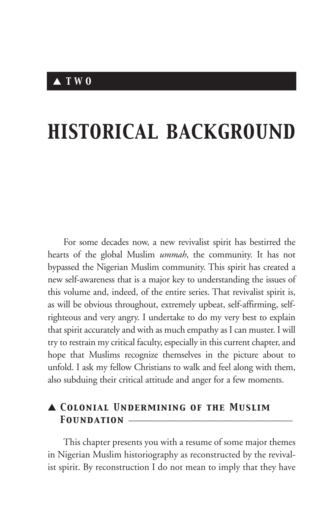# *HISTORICAL BACKGROUND*

For some decades now, a new revivalist spirit has bestirred the hearts of the global Muslim *ummah*, the community. It has not bypassed the Nigerian Muslim community. This spirit has created a new self-awareness that is a major key to understanding the issues of this volume and, indeed, of the entire series. That revivalist spirit is, as will be obvious throughout, extremely upbeat, self-affirming, selfrighteous and very angry. I undertake to do my very best to explain that spirit accurately and with as much empathy as I can muster. I will try to restrain my critical faculty, especially in this current chapter, and hope that Muslims recognize themselves in the picture about to unfold. I ask my fellow Christians to walk and feel along with them, also subduing their critical attitude and anger for a few moments.

# ▲ *Colonial Undermining of the Muslim* FOUNDATION **\_**

This chapter presents you with a resume of some major themes in Nigerian Muslim historiography as reconstructed by the revivalist spirit. By reconstruction I do not mean to imply that they have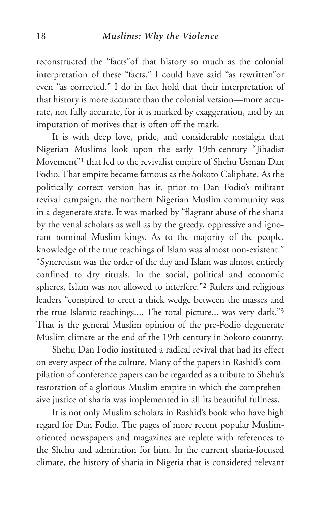reconstructed the "facts"of that history so much as the colonial interpretation of these "facts." I could have said "as rewritten"or even "as corrected." I do in fact hold that their interpretation of that history is more accurate than the colonial version—more accurate, not fully accurate, for it is marked by exaggeration, and by an imputation of motives that is often off the mark.

It is with deep love, pride, and considerable nostalgia that Nigerian Muslims look upon the early 19th-century "Jihadist Movement"1 that led to the revivalist empire of Shehu Usman Dan Fodio. That empire became famous as the Sokoto Caliphate. As the politically correct version has it, prior to Dan Fodio's militant revival campaign, the northern Nigerian Muslim community was in a degenerate state. It was marked by "flagrant abuse of the sharia by the venal scholars as well as by the greedy, oppressive and ignorant nominal Muslim kings. As to the majority of the people, knowledge of the true teachings of Islam was almost non-existent." "Syncretism was the order of the day and Islam was almost entirely confined to dry rituals. In the social, political and economic spheres, Islam was not allowed to interfere."2 Rulers and religious leaders "conspired to erect a thick wedge between the masses and the true Islamic teachings.... The total picture... was very dark."3 That is the general Muslim opinion of the pre-Fodio degenerate Muslim climate at the end of the 19th century in Sokoto country.

Shehu Dan Fodio instituted a radical revival that had its effect on every aspect of the culture. Many of the papers in Rashid's compilation of conference papers can be regarded as a tribute to Shehu's restoration of a glorious Muslim empire in which the comprehensive justice of sharia was implemented in all its beautiful fullness.

It is not only Muslim scholars in Rashid's book who have high regard for Dan Fodio. The pages of more recent popular Muslimoriented newspapers and magazines are replete with references to the Shehu and admiration for him. In the current sharia-focused climate, the history of sharia in Nigeria that is considered relevant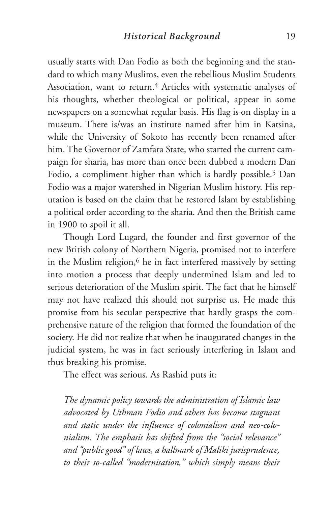usually starts with Dan Fodio as both the beginning and the standard to which many Muslims, even the rebellious Muslim Students Association, want to return.<sup>4</sup> Articles with systematic analyses of his thoughts, whether theological or political, appear in some newspapers on a somewhat regular basis. His flag is on display in a museum. There is/was an institute named after him in Katsina, while the University of Sokoto has recently been renamed after him. The Governor of Zamfara State, who started the current campaign for sharia, has more than once been dubbed a modern Dan Fodio, a compliment higher than which is hardly possible.<sup>5</sup> Dan Fodio was a major watershed in Nigerian Muslim history. His reputation is based on the claim that he restored Islam by establishing a political order according to the sharia. And then the British came in 1900 to spoil it all.

Though Lord Lugard, the founder and first governor of the new British colony of Northern Nigeria, promised not to interfere in the Muslim religion,<sup>6</sup> he in fact interfered massively by setting into motion a process that deeply undermined Islam and led to serious deterioration of the Muslim spirit. The fact that he himself may not have realized this should not surprise us. He made this promise from his secular perspective that hardly grasps the comprehensive nature of the religion that formed the foundation of the society. He did not realize that when he inaugurated changes in the judicial system, he was in fact seriously interfering in Islam and thus breaking his promise.

The effect was serious. As Rashid puts it:

*The dynamic policy towards the administration of Islamic law advocated by Uthman Fodio and others has become stagnant and static under the influence of colonialism and neo-colonialism. The emphasis has shifted from the "social relevance" and "public good" of laws, a hallmark of Maliki jurisprudence, to their so-called "modernisation," which simply means their*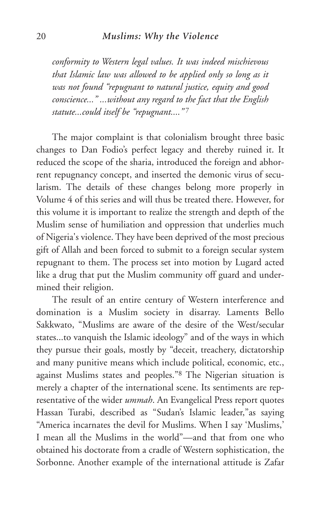*conformity to Western legal values. It was indeed mischievous that Islamic law was allowed to be applied only so long as it was not found "repugnant to natural justice, equity and good conscience..." ...without any regard to the fact that the English statute...could itself be "repugnant...."* <sup>7</sup>

The major complaint is that colonialism brought three basic changes to Dan Fodio's perfect legacy and thereby ruined it. It reduced the scope of the sharia, introduced the foreign and abhorrent repugnancy concept, and inserted the demonic virus of secularism. The details of these changes belong more properly in Volume 4 of this series and will thus be treated there. However, for this volume it is important to realize the strength and depth of the Muslim sense of humiliation and oppression that underlies much of Nigeria's violence. They have been deprived of the most precious gift of Allah and been forced to submit to a foreign secular system repugnant to them. The process set into motion by Lugard acted like a drug that put the Muslim community off guard and undermined their religion.

The result of an entire century of Western interference and domination is a Muslim society in disarray. Laments Bello Sakkwato, "Muslims are aware of the desire of the West/secular states...to vanquish the Islamic ideology" and of the ways in which they pursue their goals, mostly by "deceit, treachery, dictatorship and many punitive means which include political, economic, etc., against Muslims states and peoples."8 The Nigerian situation is merely a chapter of the international scene. Its sentiments are representative of the wider *ummah*. An Evangelical Press report quotes Hassan Turabi, described as "Sudan's Islamic leader,"as saying "America incarnates the devil for Muslims. When I say 'Muslims,' I mean all the Muslims in the world"—and that from one who obtained his doctorate from a cradle of Western sophistication, the Sorbonne. Another example of the international attitude is Zafar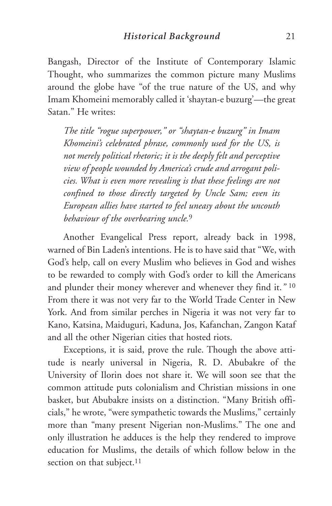Bangash, Director of the Institute of Contemporary Islamic Thought, who summarizes the common picture many Muslims around the globe have "of the true nature of the US, and why Imam Khomeini memorably called it 'shaytan-e buzurg'—the great Satan." He writes:

*The title "rogue superpower," or "shaytan-e buzurg" in Imam Khomeini's celebrated phrase, commonly used for the US, is not merely political rhetoric; it is the deeply felt and perceptive view of people wounded by America's crude and arrogant policies. What is even more revealing is that these feelings are not confined to those directly targeted by Uncle Sam; even its European allies have started to feel uneasy about the uncouth behaviour of the overbearing uncle.*<sup>9</sup>

Another Evangelical Press report, already back in 1998, warned of Bin Laden's intentions. He is to have said that "We, with God's help, call on every Muslim who believes in God and wishes to be rewarded to comply with God's order to kill the Americans and plunder their money wherever and whenever they find it.*"* <sup>10</sup> From there it was not very far to the World Trade Center in New York. And from similar perches in Nigeria it was not very far to Kano, Katsina, Maiduguri, Kaduna, Jos, Kafanchan, Zangon Kataf and all the other Nigerian cities that hosted riots.

Exceptions, it is said, prove the rule. Though the above attitude is nearly universal in Nigeria, R. D. Abubakre of the University of Ilorin does not share it. We will soon see that the common attitude puts colonialism and Christian missions in one basket, but Abubakre insists on a distinction. "Many British officials," he wrote, "were sympathetic towards the Muslims," certainly more than "many present Nigerian non-Muslims." The one and only illustration he adduces is the help they rendered to improve education for Muslims, the details of which follow below in the section on that subject.<sup>11</sup>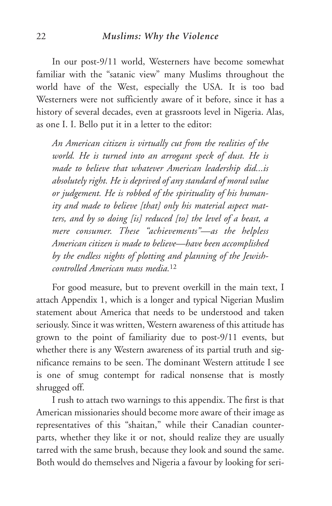#### 22 *Muslims: Why the Violence*

In our post-9/11 world, Westerners have become somewhat familiar with the "satanic view" many Muslims throughout the world have of the West, especially the USA. It is too bad Westerners were not sufficiently aware of it before, since it has a history of several decades, even at grassroots level in Nigeria. Alas, as one I. I. Bello put it in a letter to the editor:

*An American citizen is virtually cut from the realities of the world. He is turned into an arrogant speck of dust. He is made to believe that whatever American leadership did...is absolutely right. He is deprived of any standard of moral value or judgement. He is robbed of the spirituality of his humanity and made to believe [that] only his material aspect matters, and by so doing [is] reduced [to] the level of a beast, a mere consumer. These "achievements"—as the helpless American citizen is made to believe—have been accomplished by the endless nights of plotting and planning of the Jewishcontrolled American mass media.*<sup>12</sup>

For good measure, but to prevent overkill in the main text, I attach Appendix 1, which is a longer and typical Nigerian Muslim statement about America that needs to be understood and taken seriously. Since it was written, Western awareness of this attitude has grown to the point of familiarity due to post-9/11 events, but whether there is any Western awareness of its partial truth and significance remains to be seen. The dominant Western attitude I see is one of smug contempt for radical nonsense that is mostly shrugged off.

I rush to attach two warnings to this appendix. The first is that American missionaries should become more aware of their image as representatives of this "shaitan," while their Canadian counterparts, whether they like it or not, should realize they are usually tarred with the same brush, because they look and sound the same. Both would do themselves and Nigeria a favour by looking for seri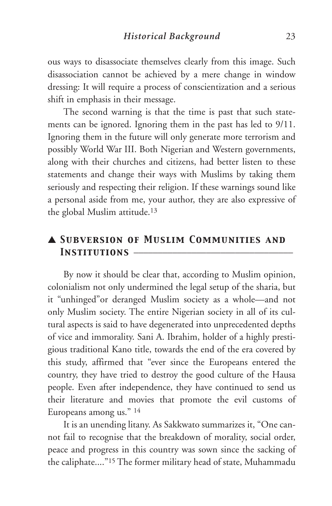ous ways to disassociate themselves clearly from this image. Such disassociation cannot be achieved by a mere change in window dressing: It will require a process of conscientization and a serious shift in emphasis in their message.

The second warning is that the time is past that such statements can be ignored. Ignoring them in the past has led to 9/11. Ignoring them in the future will only generate more terrorism and possibly World War III. Both Nigerian and Western governments, along with their churches and citizens, had better listen to these statements and change their ways with Muslims by taking them seriously and respecting their religion. If these warnings sound like a personal aside from me, your author, they are also expressive of the global Muslim attitude.13

# ▲ *Subversion of Muslim Communities and* INSTITUTIONS  $-$

By now it should be clear that, according to Muslim opinion, colonialism not only undermined the legal setup of the sharia, but it "unhinged"or deranged Muslim society as a whole—and not only Muslim society. The entire Nigerian society in all of its cultural aspects is said to have degenerated into unprecedented depths of vice and immorality. Sani A. Ibrahim, holder of a highly prestigious traditional Kano title, towards the end of the era covered by this study, affirmed that "ever since the Europeans entered the country, they have tried to destroy the good culture of the Hausa people. Even after independence, they have continued to send us their literature and movies that promote the evil customs of Europeans among us." <sup>14</sup>

It is an unending litany. As Sakkwato summarizes it, "One cannot fail to recognise that the breakdown of morality, social order, peace and progress in this country was sown since the sacking of the caliphate...."15 The former military head of state, Muhammadu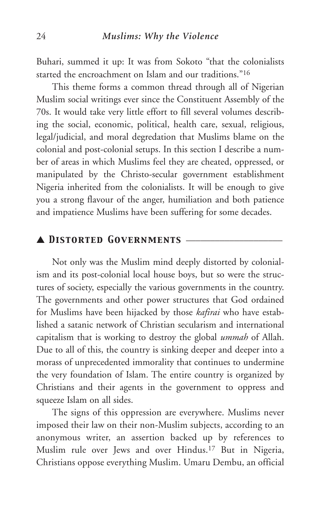Buhari, summed it up: It was from Sokoto "that the colonialists started the encroachment on Islam and our traditions."16

This theme forms a common thread through all of Nigerian Muslim social writings ever since the Constituent Assembly of the 70s. It would take very little effort to fill several volumes describing the social, economic, political, health care, sexual, religious, legal/judicial, and moral degredation that Muslims blame on the colonial and post-colonial setups. In this section I describe a number of areas in which Muslims feel they are cheated, oppressed, or manipulated by the Christo-secular government establishment Nigeria inherited from the colonialists. It will be enough to give you a strong flavour of the anger, humiliation and both patience and impatience Muslims have been suffering for some decades.

# ▲ *Distorted Governments* \_\_\_\_\_\_\_\_\_\_\_\_\_\_\_\_\_\_\_\_

Not only was the Muslim mind deeply distorted by colonialism and its post-colonial local house boys, but so were the structures of society, especially the various governments in the country. The governments and other power structures that God ordained for Muslims have been hijacked by those *kafirai* who have established a satanic network of Christian secularism and international capitalism that is working to destroy the global *ummah* of Allah. Due to all of this, the country is sinking deeper and deeper into a morass of unprecedented immorality that continues to undermine the very foundation of Islam. The entire country is organized by Christians and their agents in the government to oppress and squeeze Islam on all sides.

The signs of this oppression are everywhere. Muslims never imposed their law on their non-Muslim subjects, according to an anonymous writer, an assertion backed up by references to Muslim rule over Jews and over Hindus.17 But in Nigeria, Christians oppose everything Muslim. Umaru Dembu, an official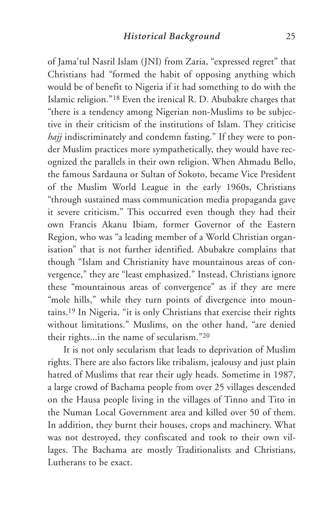of Jama'tul Nasril Islam (JNI) from Zaria, "expressed regret" that Christians had "formed the habit of opposing anything which would be of benefit to Nigeria if it had something to do with the Islamic religion."18 Even the irenical R. D. Abubakre charges that "there is a tendency among Nigerian non-Muslims to be subjective in their criticism of the institutions of Islam. They criticise *hajj* indiscriminately and condemn fasting." If they were to ponder Muslim practices more sympathetically, they would have recognized the parallels in their own religion. When Ahmadu Bello, the famous Sardauna or Sultan of Sokoto, became Vice President of the Muslim World League in the early 1960s, Christians "through sustained mass communication media propaganda gave it severe criticism." This occurred even though they had their own Francis Akanu Ibiam, former Governor of the Eastern Region, who was "a leading member of a World Christian organisation" that is not further identified. Abubakre complains that though "Islam and Christianity have mountainous areas of convergence," they are "least emphasized." Instead, Christians ignore these "mountainous areas of convergence" as if they are mere "mole hills," while they turn points of divergence into mountains.19 In Nigeria, "it is only Christians that exercise their rights without limitations." Muslims, on the other hand, "are denied their rights...in the name of secularism."20

It is not only secularism that leads to deprivation of Muslim rights. There are also factors like tribalism, jealousy and just plain hatred of Muslims that rear their ugly heads. Sometime in 1987, a large crowd of Bachama people from over 25 villages descended on the Hausa people living in the villages of Tinno and Tito in the Numan Local Government area and killed over 50 of them. In addition, they burnt their houses, crops and machinery. What was not destroyed, they confiscated and took to their own villages. The Bachama are mostly Traditionalists and Christians, Lutherans to be exact.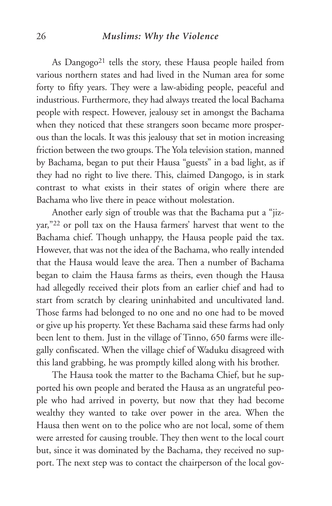#### 26 *Muslims: Why the Violence*

As Dangogo<sup>21</sup> tells the story, these Hausa people hailed from various northern states and had lived in the Numan area for some forty to fifty years. They were a law-abiding people, peaceful and industrious. Furthermore, they had always treated the local Bachama people with respect. However, jealousy set in amongst the Bachama when they noticed that these strangers soon became more prosperous than the locals. It was this jealousy that set in motion increasing friction between the two groups. The Yola television station, manned by Bachama, began to put their Hausa "guests" in a bad light, as if they had no right to live there. This, claimed Dangogo, is in stark contrast to what exists in their states of origin where there are Bachama who live there in peace without molestation.

Another early sign of trouble was that the Bachama put a "jizyar,"22 or poll tax on the Hausa farmers' harvest that went to the Bachama chief. Though unhappy, the Hausa people paid the tax. However, that was not the idea of the Bachama, who really intended that the Hausa would leave the area. Then a number of Bachama began to claim the Hausa farms as theirs, even though the Hausa had allegedly received their plots from an earlier chief and had to start from scratch by clearing uninhabited and uncultivated land. Those farms had belonged to no one and no one had to be moved or give up his property. Yet these Bachama said these farms had only been lent to them. Just in the village of Tinno, 650 farms were illegally confiscated. When the village chief of Waduku disagreed with this land grabbing, he was promptly killed along with his brother.

The Hausa took the matter to the Bachama Chief, but he supported his own people and berated the Hausa as an ungrateful people who had arrived in poverty, but now that they had become wealthy they wanted to take over power in the area. When the Hausa then went on to the police who are not local, some of them were arrested for causing trouble. They then went to the local court but, since it was dominated by the Bachama, they received no support. The next step was to contact the chairperson of the local gov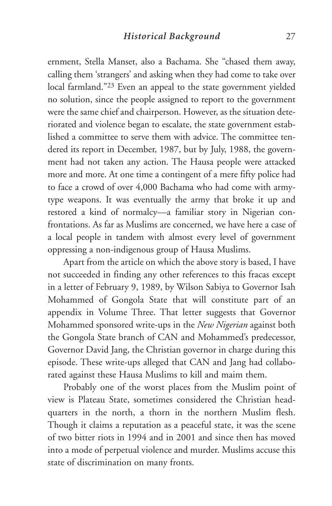ernment, Stella Manset, also a Bachama. She "chased them away, calling them 'strangers' and asking when they had come to take over local farmland."23 Even an appeal to the state government yielded no solution, since the people assigned to report to the government were the same chief and chairperson. However, as the situation deteriorated and violence began to escalate, the state government established a committee to serve them with advice. The committee tendered its report in December, 1987, but by July, 1988, the government had not taken any action. The Hausa people were attacked more and more. At one time a contingent of a mere fifty police had to face a crowd of over 4,000 Bachama who had come with armytype weapons. It was eventually the army that broke it up and restored a kind of normalcy—a familiar story in Nigerian confrontations. As far as Muslims are concerned, we have here a case of a local people in tandem with almost every level of government oppressing a non-indigenous group of Hausa Muslims.

Apart from the article on which the above story is based, I have not succeeded in finding any other references to this fracas except in a letter of February 9, 1989, by Wilson Sabiya to Governor Isah Mohammed of Gongola State that will constitute part of an appendix in Volume Three. That letter suggests that Governor Mohammed sponsored write-ups in the *New Nigerian* against both the Gongola State branch of CAN and Mohammed's predecessor, Governor David Jang, the Christian governor in charge during this episode. These write-ups alleged that CAN and Jang had collaborated against these Hausa Muslims to kill and maim them.

Probably one of the worst places from the Muslim point of view is Plateau State, sometimes considered the Christian headquarters in the north, a thorn in the northern Muslim flesh. Though it claims a reputation as a peaceful state, it was the scene of two bitter riots in 1994 and in 2001 and since then has moved into a mode of perpetual violence and murder. Muslims accuse this state of discrimination on many fronts.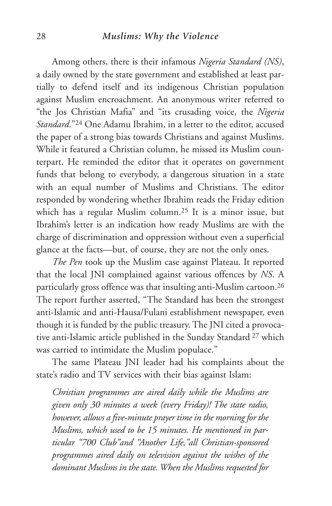#### 28 *Muslims: Why the Violence*

Among others, there is their infamous *Nigeria Standard (NS)*, a daily owned by the state government and established at least partially to defend itself and its indigenous Christian population against Muslim encroachment. An anonymous writer referred to "the Jos Christian Mafia" and "its crusading voice, the *Nigeria Standard*."24 One Adamu Ibrahim, in a letter to the editor, accused the paper of a strong bias towards Christians and against Muslims. While it featured a Christian column, he missed its Muslim counterpart. He reminded the editor that it operates on government funds that belong to everybody, a dangerous situation in a state with an equal number of Muslims and Christians. The editor responded by wondering whether Ibrahim reads the Friday edition which has a regular Muslim column.25 It is a minor issue, but Ibrahim's letter is an indication how ready Muslims are with the charge of discrimination and oppression without even a superficial glance at the facts—but, of course, they are not the only ones.

*The Pen* took up the Muslim case against Plateau. It reported that the local JNI complained against various offences by *NS*. A particularly gross offence was that insulting anti-Muslim cartoon.26 The report further asserted, "The Standard has been the strongest anti-Islamic and anti-Hausa/Fulani establishment newspaper, even though it is funded by the public treasury. The JNI cited a provocative anti-Islamic article published in the Sunday Standard <sup>27</sup> which was carried to intimidate the Muslim populace."

The same Plateau JNI leader had his complaints about the state's radio and TV services with their bias against Islam:

*Christian programmes are aired daily while the Muslims are given only 30 minutes a week (every Friday)! The state radio, however, allows a five-minute prayer time in the morning for the Muslims, which used to be 15 minutes. He mentioned in particular "700 Club"and "Another Life,"all Christian-sponsored programmes aired daily on television against the wishes of the dominant Muslims in the state. When the Muslims requested for*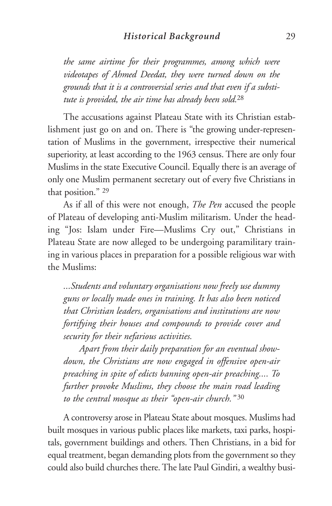*the same airtime for their programmes, among which were videotapes of Ahmed Deedat, they were turned down on the grounds that it is a controversial series and that even if a substitute is provided, the air time has already been sold.*<sup>28</sup>

The accusations against Plateau State with its Christian establishment just go on and on. There is "the growing under-representation of Muslims in the government, irrespective their numerical superiority, at least according to the 1963 census. There are only four Muslims in the state Executive Council. Equally there is an average of only one Muslim permanent secretary out of every five Christians in that position." <sup>29</sup>

As if all of this were not enough, *The Pen* accused the people of Plateau of developing anti-Muslim militarism. Under the heading "Jos: Islam under Fire—Muslims Cry out," Christians in Plateau State are now alleged to be undergoing paramilitary training in various places in preparation for a possible religious war with the Muslims:

*...Students and voluntary organisations now freely use dummy guns or locally made ones in training. It has also been noticed that Christian leaders, organisations and institutions are now fortifying their houses and compounds to provide cover and security for their nefarious activities.* 

*Apart from their daily preparation for an eventual showdown, the Christians are now engaged in offensive open-air preaching in spite of edicts banning open-air preaching.... To further provoke Muslims, they choose the main road leading to the central mosque as their "open-air church."* <sup>30</sup>

A controversy arose in Plateau State about mosques. Muslims had built mosques in various public places like markets, taxi parks, hospitals, government buildings and others. Then Christians, in a bid for equal treatment, began demanding plots from the government so they could also build churches there. The late Paul Gindiri, a wealthy busi-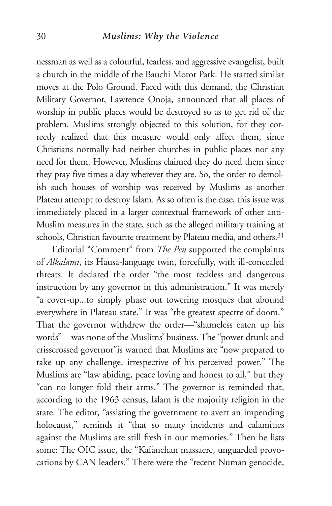#### 30 *Muslims: Why the Violence*

nessman as well as a colourful, fearless, and aggressive evangelist, built a church in the middle of the Bauchi Motor Park. He started similar moves at the Polo Ground. Faced with this demand, the Christian Military Governor, Lawrence Onoja, announced that all places of worship in public places would be destroyed so as to get rid of the problem. Muslims strongly objected to this solution, for they correctly realized that this measure would only affect them, since Christians normally had neither churches in public places nor any need for them. However, Muslims claimed they do need them since they pray five times a day wherever they are. So, the order to demolish such houses of worship was received by Muslims as another Plateau attempt to destroy Islam. As so often is the case, this issue was immediately placed in a larger contextual framework of other anti-Muslim measures in the state, such as the alleged military training at schools, Christian favourite treatment by Plateau media, and others.<sup>31</sup>

Editorial "Comment" from *The Pen* supported the complaints of *Alkalami*, its Hausa-language twin, forcefully, with ill-concealed threats. It declared the order "the most reckless and dangerous instruction by any governor in this administration." It was merely "a cover-up...to simply phase out towering mosques that abound everywhere in Plateau state." It was "the greatest spectre of doom." That the governor withdrew the order—"shameless eaten up his words"—was none of the Muslims' business. The "power drunk and crisscrossed governor"is warned that Muslims are "now prepared to take up any challenge, irrespective of his perceived power." The Muslims are "law abiding, peace loving and honest to all," but they "can no longer fold their arms." The governor is reminded that, according to the 1963 census, Islam is the majority religion in the state. The editor, "assisting the government to avert an impending holocaust," reminds it "that so many incidents and calamities against the Muslims are still fresh in our memories." Then he lists some: The OIC issue, the "Kafanchan massacre, unguarded provocations by CAN leaders." There were the "recent Numan genocide,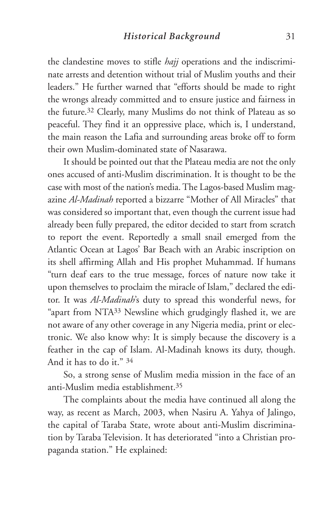the clandestine moves to stifle *hajj* operations and the indiscriminate arrests and detention without trial of Muslim youths and their leaders." He further warned that "efforts should be made to right the wrongs already committed and to ensure justice and fairness in the future.32 Clearly, many Muslims do not think of Plateau as so peaceful. They find it an oppressive place, which is, I understand, the main reason the Lafia and surrounding areas broke off to form their own Muslim-dominated state of Nasarawa.

It should be pointed out that the Plateau media are not the only ones accused of anti-Muslim discrimination. It is thought to be the case with most of the nation's media. The Lagos-based Muslim magazine *Al-Madinah* reported a bizzarre "Mother of All Miracles" that was considered so important that, even though the current issue had already been fully prepared, the editor decided to start from scratch to report the event. Reportedly a small snail emerged from the Atlantic Ocean at Lagos' Bar Beach with an Arabic inscription on its shell affirming Allah and His prophet Muhammad. If humans "turn deaf ears to the true message, forces of nature now take it upon themselves to proclaim the miracle of Islam," declared the editor. It was *Al-Madinah*'s duty to spread this wonderful news, for "apart from NTA33 Newsline which grudgingly flashed it, we are not aware of any other coverage in any Nigeria media, print or electronic. We also know why: It is simply because the discovery is a feather in the cap of Islam. Al-Madinah knows its duty, though. And it has to do it." <sup>34</sup>

So, a strong sense of Muslim media mission in the face of an anti-Muslim media establishment.35

The complaints about the media have continued all along the way, as recent as March, 2003, when Nasiru A. Yahya of Jalingo, the capital of Taraba State, wrote about anti-Muslim discrimination by Taraba Television. It has deteriorated "into a Christian propaganda station." He explained: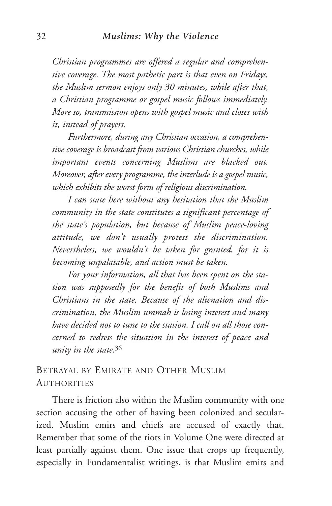*Christian programmes are offered a regular and comprehensive coverage. The most pathetic part is that even on Fridays, the Muslim sermon enjoys only 30 minutes, while after that, a Christian programme or gospel music follows immediately. More so, transmission opens with gospel music and closes with it, instead of prayers.* 

*Furthermore, during any Christian occasion, a comprehensive coverage is broadcast from various Christian churches, while important events concerning Muslims are blacked out. Moreover, after every programme, the interlude is a gospel music, which exhibits the worst form of religious discrimination.* 

*I can state here without any hesitation that the Muslim community in the state constitutes a significant percentage of the state's population, but because of Muslim peace-loving attitude, we don't usually protest the discrimination. Nevertheless, we wouldn't be taken for granted, for it is becoming unpalatable, and action must be taken.* 

*For your information, all that has been spent on the station was supposedly for the benefit of both Muslims and Christians in the state. Because of the alienation and discrimination, the Muslim ummah is losing interest and many have decided not to tune to the station. I call on all those concerned to redress the situation in the interest of peace and unity in the state.*<sup>36</sup>

# BETRAYAL BY EMIRATE AND OTHER MUSLIM **AUTHORITIES**

There is friction also within the Muslim community with one section accusing the other of having been colonized and secularized. Muslim emirs and chiefs are accused of exactly that. Remember that some of the riots in Volume One were directed at least partially against them. One issue that crops up frequently, especially in Fundamentalist writings, is that Muslim emirs and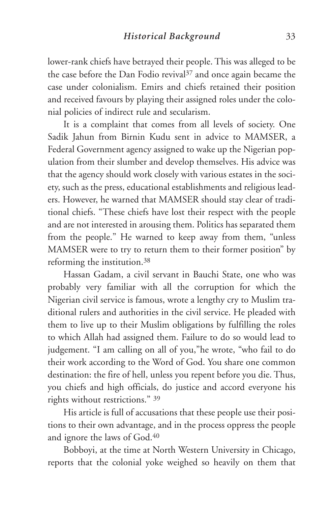lower-rank chiefs have betrayed their people. This was alleged to be the case before the Dan Fodio revival<sup>37</sup> and once again became the case under colonialism. Emirs and chiefs retained their position and received favours by playing their assigned roles under the colonial policies of indirect rule and secularism.

It is a complaint that comes from all levels of society. One Sadik Jahun from Birnin Kudu sent in advice to MAMSER, a Federal Government agency assigned to wake up the Nigerian population from their slumber and develop themselves. His advice was that the agency should work closely with various estates in the society, such as the press, educational establishments and religious leaders. However, he warned that MAMSER should stay clear of traditional chiefs. "These chiefs have lost their respect with the people and are not interested in arousing them. Politics has separated them from the people." He warned to keep away from them, "unless MAMSER were to try to return them to their former position" by reforming the institution.38

Hassan Gadam, a civil servant in Bauchi State, one who was probably very familiar with all the corruption for which the Nigerian civil service is famous, wrote a lengthy cry to Muslim traditional rulers and authorities in the civil service. He pleaded with them to live up to their Muslim obligations by fulfilling the roles to which Allah had assigned them. Failure to do so would lead to judgement. "I am calling on all of you,"he wrote, "who fail to do their work according to the Word of God. You share one common destination: the fire of hell, unless you repent before you die. Thus, you chiefs and high officials, do justice and accord everyone his rights without restrictions." <sup>39</sup>

His article is full of accusations that these people use their positions to their own advantage, and in the process oppress the people and ignore the laws of God.40

Bobboyi, at the time at North Western University in Chicago, reports that the colonial yoke weighed so heavily on them that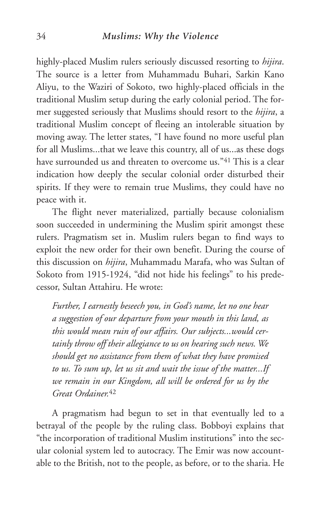highly-placed Muslim rulers seriously discussed resorting to *hijira*. The source is a letter from Muhammadu Buhari, Sarkin Kano Aliyu, to the Waziri of Sokoto, two highly-placed officials in the traditional Muslim setup during the early colonial period. The former suggested seriously that Muslims should resort to the *hijira*, a traditional Muslim concept of fleeing an intolerable situation by moving away. The letter states, "I have found no more useful plan for all Muslims...that we leave this country, all of us...as these dogs have surrounded us and threaten to overcome us."<sup>41</sup> This is a clear indication how deeply the secular colonial order disturbed their spirits. If they were to remain true Muslims, they could have no peace with it.

The flight never materialized, partially because colonialism soon succeeded in undermining the Muslim spirit amongst these rulers. Pragmatism set in. Muslim rulers began to find ways to exploit the new order for their own benefit. During the course of this discussion on *hijira*, Muhammadu Marafa, who was Sultan of Sokoto from 1915-1924, "did not hide his feelings" to his predecessor, Sultan Attahiru. He wrote:

*Further, I earnestly beseech you, in God's name, let no one hear a suggestion of our departure from your mouth in this land, as this would mean ruin of our affairs. Our subjects...would certainly throw off their allegiance to us on hearing such news. We should get no assistance from them of what they have promised to us. To sum up, let us sit and wait the issue of the matter...If we remain in our Kingdom, all will be ordered for us by the Great Ordainer.*<sup>42</sup>

A pragmatism had begun to set in that eventually led to a betrayal of the people by the ruling class. Bobboyi explains that "the incorporation of traditional Muslim institutions" into the secular colonial system led to autocracy. The Emir was now accountable to the British, not to the people, as before, or to the sharia. He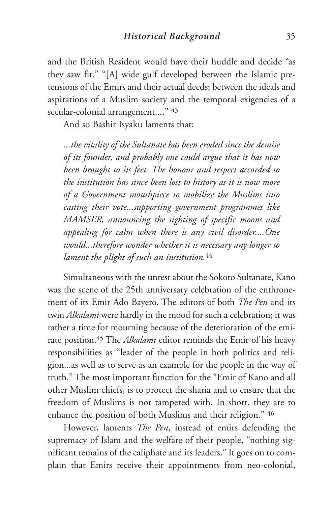and the British Resident would have their huddle and decide "as they saw fit." "[A] wide gulf developed between the Islamic pretensions of the Emirs and their actual deeds; between the ideals and aspirations of a Muslim society and the temporal exigencies of a secular-colonial arrangement...." 43

And so Bashir Isyaku laments that:

*...the vitality of the Sultanate has been eroded since the demise of its founder, and probably one could argue that it has now been brought to its feet. The honour and respect accorded to the institution has since been lost to history as it is now more of a Government mouthpiece to mobilize the Muslims into casting their vote...supporting government programmes like MAMSER, announcing the sighting of specific moons and appealing for calm when there is any civil disorder....One would...therefore wonder whether it is necessary any longer to lament the plight of such an institution.*<sup>44</sup>

Simultaneous with the unrest about the Sokoto Sultanate, Kano was the scene of the 25th anniversary celebration of the enthronement of its Emir Ado Bayero. The editors of both *The Pen* and its twin *Alkalami* were hardly in the mood for such a celebration; it was rather a time for mourning because of the deterioration of the emirate position.45 The *Alkalami* editor reminds the Emir of his heavy responsibilities as "leader of the people in both politics and religion...as well as to serve as an example for the people in the way of truth." The most important function for the "Emir of Kano and all other Muslim chiefs, is to protect the sharia and to ensure that the freedom of Muslims is not tampered with. In short, they are to enhance the position of both Muslims and their religion." <sup>46</sup>

However, laments *The Pen*, instead of emirs defending the supremacy of Islam and the welfare of their people, "nothing significant remains of the caliphate and its leaders." It goes on to complain that Emirs receive their appointments from neo-colonial,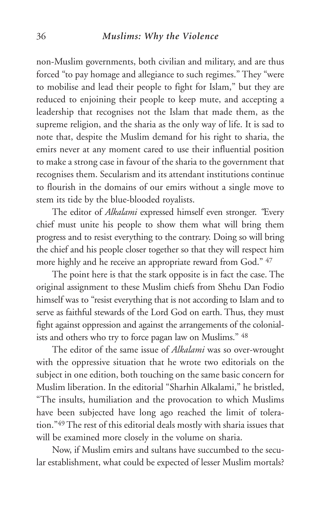non-Muslim governments, both civilian and military, and are thus forced "to pay homage and allegiance to such regimes." They "were to mobilise and lead their people to fight for Islam," but they are reduced to enjoining their people to keep mute, and accepting a leadership that recognises not the Islam that made them, as the supreme religion, and the sharia as the only way of life. It is sad to note that, despite the Muslim demand for his right to sharia, the emirs never at any moment cared to use their influential position to make a strong case in favour of the sharia to the government that recognises them. Secularism and its attendant institutions continue to flourish in the domains of our emirs without a single move to stem its tide by the blue-blooded royalists.

The editor of *Alkalami* expressed himself even stronger. *"*Every chief must unite his people to show them what will bring them progress and to resist everything to the contrary. Doing so will bring the chief and his people closer together so that they will respect him more highly and he receive an appropriate reward from God." <sup>47</sup>

The point here is that the stark opposite is in fact the case. The original assignment to these Muslim chiefs from Shehu Dan Fodio himself was to "resist everything that is not according to Islam and to serve as faithful stewards of the Lord God on earth. Thus, they must fight against oppression and against the arrangements of the colonialists and others who try to force pagan law on Muslims." <sup>48</sup>

The editor of the same issue of *Alkalami* was so over-wrought with the oppressive situation that he wrote two editorials on the subject in one edition, both touching on the same basic concern for Muslim liberation. In the editorial "Sharhin Alkalami," he bristled, "The insults, humiliation and the provocation to which Muslims have been subjected have long ago reached the limit of toleration."49 The rest of this editorial deals mostly with sharia issues that will be examined more closely in the volume on sharia.

Now, if Muslim emirs and sultans have succumbed to the secular establishment, what could be expected of lesser Muslim mortals?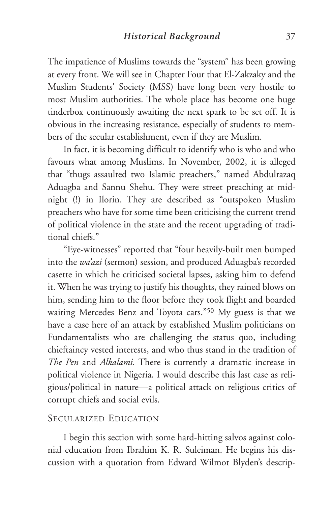The impatience of Muslims towards the "system" has been growing at every front. We will see in Chapter Four that El-Zakzaky and the Muslim Students' Society (MSS) have long been very hostile to most Muslim authorities. The whole place has become one huge tinderbox continuously awaiting the next spark to be set off. It is obvious in the increasing resistance, especially of students to members of the secular establishment, even if they are Muslim.

In fact, it is becoming difficult to identify who is who and who favours what among Muslims. In November, 2002, it is alleged that "thugs assaulted two Islamic preachers," named Abdulrazaq Aduagba and Sannu Shehu. They were street preaching at midnight (!) in Ilorin. They are described as "outspoken Muslim preachers who have for some time been criticising the current trend of political violence in the state and the recent upgrading of traditional chiefs."

"Eye-witnesses" reported that "four heavily-built men bumped into the *wa'azi* (sermon) session, and produced Aduagba's recorded casette in which he criticised societal lapses, asking him to defend it. When he was trying to justify his thoughts, they rained blows on him, sending him to the floor before they took flight and boarded waiting Mercedes Benz and Toyota cars."50 My guess is that we have a case here of an attack by established Muslim politicians on Fundamentalists who are challenging the status quo, including chieftaincy vested interests, and who thus stand in the tradition of *The Pen* and *Alkalami.* There is currently a dramatic increase in political violence in Nigeria. I would describe this last case as religious/political in nature—a political attack on religious critics of corrupt chiefs and social evils.

## SECULARIZED EDUCATION

I begin this section with some hard-hitting salvos against colonial education from Ibrahim K. R. Suleiman. He begins his discussion with a quotation from Edward Wilmot Blyden's descrip-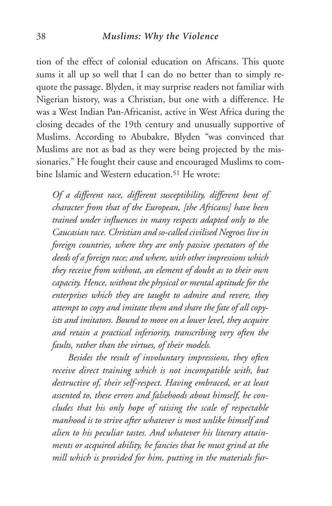#### 38 *Muslims: Why the Violence*

tion of the effect of colonial education on Africans. This quote sums it all up so well that I can do no better than to simply requote the passage. Blyden, it may surprise readers not familiar with Nigerian history, was a Christian, but one with a difference. He was a West Indian Pan-Africanist, active in West Africa during the closing decades of the 19th century and unusually supportive of Muslims. According to Abubakre, Blyden "was convinced that Muslims are not as bad as they were being projected by the missionaries." He fought their cause and encouraged Muslims to combine Islamic and Western education<sup>51</sup> He wrote:

*Of a different race, different susceptibility, different bent of character from that of the European, [the Africans] have been trained under influences in many respects adapted only to the Caucasian race. Christian and so-called civilised Negroes live in foreign countries, where they are only passive spectators of the deeds of a foreign race; and where, with other impressions which they receive from without, an element of doubt as to their own capacity. Hence, without the physical or mental aptitude for the enterprises which they are taught to admire and revere, they attempt to copy and imitate them and share the fate of all copyists and imitators. Bound to move on a lower level, they acquire and retain a practical inferiority, transcribing very often the faults, rather than the virtues, of their models.*

*Besides the result of involuntary impressions, they often receive direct training which is not incompatible with, but destructive of, their self-respect. Having embraced, or at least assented to, these errors and falsehoods about himself, he concludes that his only hope of raising the scale of respectable manhood is to strive after whatever is most unlike himself and alien to his peculiar tastes. And whatever his literary attainments or acquired ability, he fancies that he must grind at the mill which is provided for him, putting in the materials fur-*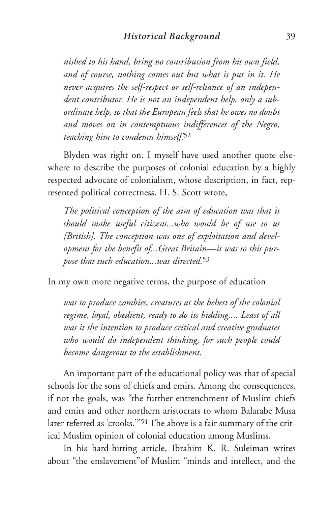*nished to his hand, bring no contribution from his own field, and of course, nothing comes out but what is put in it. He never acquires the self-respect or self-reliance of an independent contributor. He is not an independent help, only a subordinate help, so that the European feels that he owes no doubt and moves on in contemptuous indifferences of the Negro, teaching him to condemn himself.*<sup>52</sup>

Blyden was right on. I myself have used another quote elsewhere to describe the purposes of colonial education by a highly respected advocate of colonialism, whose description, in fact, represented political correctness. H. S. Scott wrote,

*The political conception of the aim of education was that it should make useful citizens...who would be of use to us [British]. The conception was one of exploitation and development for the benefit of...Great Britain—it was to this purpose that such education...was directed.*<sup>53</sup>

In my own more negative terms, the purpose of education

*was to produce zombies, creatures at the behest of the colonial regime, loyal, obedient, ready to do its bidding.... Least of all was it the intention to produce critical and creative graduates who would do independent thinking, for such people could become dangerous to the establishment.*

An important part of the educational policy was that of special schools for the sons of chiefs and emirs. Among the consequences, if not the goals, was "the further entrenchment of Muslim chiefs and emirs and other northern aristocrats to whom Balarabe Musa later referred as 'crooks.'"54 The above is a fair summary of the critical Muslim opinion of colonial education among Muslims.

In his hard-hitting article, Ibrahim K. R. Suleiman writes about "the enslavement"of Muslim "minds and intellect, and the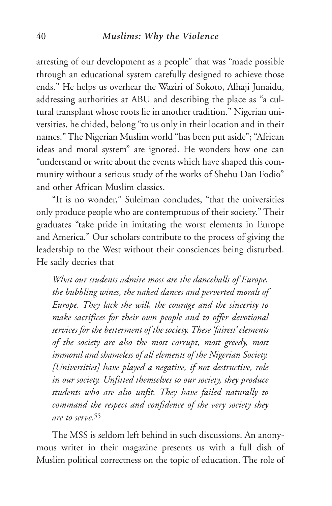#### 40 *Muslims: Why the Violence*

arresting of our development as a people" that was "made possible through an educational system carefully designed to achieve those ends." He helps us overhear the Waziri of Sokoto, Alhaji Junaidu, addressing authorities at ABU and describing the place as "a cultural transplant whose roots lie in another tradition." Nigerian universities, he chided, belong "to us only in their location and in their names." The Nigerian Muslim world "has been put aside"; "African ideas and moral system" are ignored. He wonders how one can "understand or write about the events which have shaped this community without a serious study of the works of Shehu Dan Fodio" and other African Muslim classics.

"It is no wonder," Suleiman concludes, "that the universities only produce people who are contemptuous of their society." Their graduates "take pride in imitating the worst elements in Europe and America." Our scholars contribute to the process of giving the leadership to the West without their consciences being disturbed. He sadly decries that

*What our students admire most are the dancehalls of Europe, the bubbling wines, the naked dances and perverted morals of Europe. They lack the will, the courage and the sincerity to make sacrifices for their own people and to offer devotional services for the betterment of the society. These 'fairest' elements of the society are also the most corrupt, most greedy, most immoral and shameless of all elements of the Nigerian Society. [Universities] have played a negative, if not destructive, role in our society. Unfitted themselves to our society, they produce students who are also unfit. They have failed naturally to command the respect and confidence of the very society they are to serve.*<sup>55</sup>

The MSS is seldom left behind in such discussions. An anonymous writer in their magazine presents us with a full dish of Muslim political correctness on the topic of education. The role of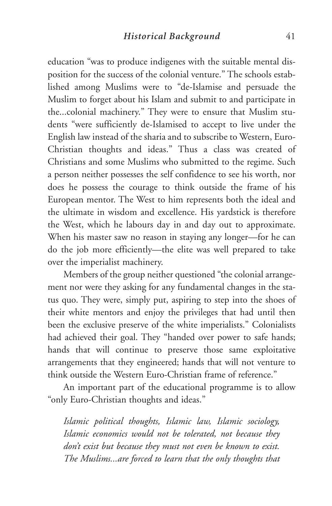education "was to produce indigenes with the suitable mental disposition for the success of the colonial venture." The schools established among Muslims were to "de-Islamise and persuade the Muslim to forget about his Islam and submit to and participate in the...colonial machinery." They were to ensure that Muslim students "were sufficiently de-Islamised to accept to live under the English law instead of the sharia and to subscribe to Western, Euro-Christian thoughts and ideas." Thus a class was created of Christians and some Muslims who submitted to the regime. Such a person neither possesses the self confidence to see his worth, nor does he possess the courage to think outside the frame of his European mentor. The West to him represents both the ideal and the ultimate in wisdom and excellence. His yardstick is therefore the West, which he labours day in and day out to approximate. When his master saw no reason in staying any longer—for he can do the job more efficiently—the elite was well prepared to take over the imperialist machinery.

Members of the group neither questioned "the colonial arrangement nor were they asking for any fundamental changes in the status quo. They were, simply put, aspiring to step into the shoes of their white mentors and enjoy the privileges that had until then been the exclusive preserve of the white imperialists." Colonialists had achieved their goal. They "handed over power to safe hands; hands that will continue to preserve those same exploitative arrangements that they engineered; hands that will not venture to think outside the Western Euro-Christian frame of reference."

An important part of the educational programme is to allow "only Euro-Christian thoughts and ideas."

*Islamic political thoughts, Islamic law, Islamic sociology, Islamic economics would not be tolerated, not because they don't exist but because they must not even be known to exist. The Muslims...are forced to learn that the only thoughts that*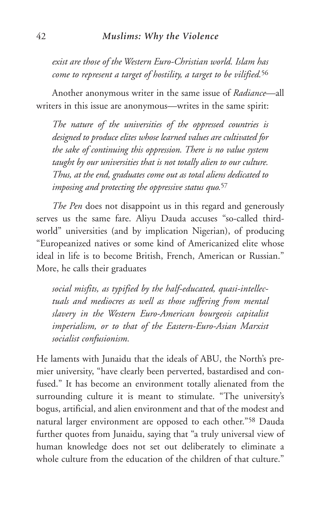*exist are those of the Western Euro-Christian world. Islam has come to represent a target of hostility, a target to be vilified.*<sup>56</sup>

Another anonymous writer in the same issue of *Radiance*—all writers in this issue are anonymous—writes in the same spirit:

*The nature of the universities of the oppressed countries is designed to produce elites whose learned values are cultivated for the sake of continuing this oppression. There is no value system taught by our universities that is not totally alien to our culture. Thus, at the end, graduates come out as total aliens dedicated to imposing and protecting the oppressive status quo.*<sup>57</sup>

*The Pen* does not disappoint us in this regard and generously serves us the same fare. Aliyu Dauda accuses "so-called thirdworld" universities (and by implication Nigerian), of producing "Europeanized natives or some kind of Americanized elite whose ideal in life is to become British, French, American or Russian." More, he calls their graduates

*social misfits, as typified by the half-educated, quasi-intellectuals and mediocres as well as those suffering from mental slavery in the Western Euro-American bourgeois capitalist imperialism, or to that of the Eastern-Euro-Asian Marxist socialist confusionism.*

He laments with Junaidu that the ideals of ABU, the North's premier university, "have clearly been perverted, bastardised and confused." It has become an environment totally alienated from the surrounding culture it is meant to stimulate. "The university's bogus, artificial, and alien environment and that of the modest and natural larger environment are opposed to each other."58 Dauda further quotes from Junaidu, saying that "a truly universal view of human knowledge does not set out deliberately to eliminate a whole culture from the education of the children of that culture."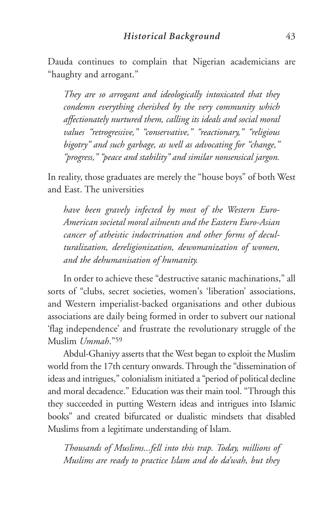Dauda continues to complain that Nigerian academicians are "haughty and arrogant."

*They are so arrogant and ideologically intoxicated that they condemn everything cherished by the very community which affectionately nurtured them, calling its ideals and social moral values "retrogressive," "conservative," "reactionary," "religious bigotry" and such garbage, as well as advocating for "change," "progress," "peace and stability" and similar nonsensical jargon.*

In reality, those graduates are merely the "house boys" of both West and East. The universities

*have been gravely infected by most of the Western Euro-American societal moral ailments and the Eastern Euro-Asian cancer of atheistic indoctrination and other forms of deculturalization, dereligionization, dewomanization of women, and the dehumanisation of humanity.*

In order to achieve these "destructive satanic machinations," all sorts of "clubs, secret societies, women's 'liberation' associations, and Western imperialist-backed organisations and other dubious associations are daily being formed in order to subvert our national 'flag independence' and frustrate the revolutionary struggle of the Muslim *Ummah*."59

Abdul-Ghaniyy asserts that the West began to exploit the Muslim world from the 17th century onwards. Through the "dissemination of ideas and intrigues," colonialism initiated a "period of political decline and moral decadence." Education was their main tool. "Through this they succeeded in putting Western ideas and intrigues into Islamic books" and created bifurcated or dualistic mindsets that disabled Muslims from a legitimate understanding of Islam.

*Thousands of Muslims...fell into this trap. Today, millions of Muslims are ready to practice Islam and do da'wah, but they*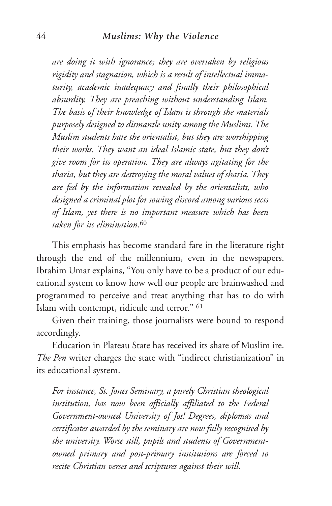#### 44 *Muslims: Why the Violence*

*are doing it with ignorance; they are overtaken by religious rigidity and stagnation, which is a result of intellectual immaturity, academic inadequacy and finally their philosophical absurdity. They are preaching without understanding Islam. The basis of their knowledge of Islam is through the materials purposely designed to dismantle unity among the Muslims. The Muslim students hate the orientalist, but they are worshipping their works. They want an ideal Islamic state, but they don't give room for its operation. They are always agitating for the sharia, but they are destroying the moral values of sharia. They are fed by the information revealed by the orientalists, who designed a criminal plot for sowing discord among various sects of Islam, yet there is no important measure which has been taken for its elimination.*<sup>60</sup>

This emphasis has become standard fare in the literature right through the end of the millennium, even in the newspapers. Ibrahim Umar explains, "You only have to be a product of our educational system to know how well our people are brainwashed and programmed to perceive and treat anything that has to do with Islam with contempt, ridicule and terror." <sup>61</sup>

Given their training, those journalists were bound to respond accordingly.

Education in Plateau State has received its share of Muslim ire. *The Pen* writer charges the state with "indirect christianization" in its educational system.

*For instance, St. Jones Seminary, a purely Christian theological institution, has now been officially affiliated to the Federal Government-owned University of Jos! Degrees, diplomas and certificates awarded by the seminary are now fully recognised by the university. Worse still, pupils and students of Governmentowned primary and post-primary institutions are forced to recite Christian verses and scriptures against their will.*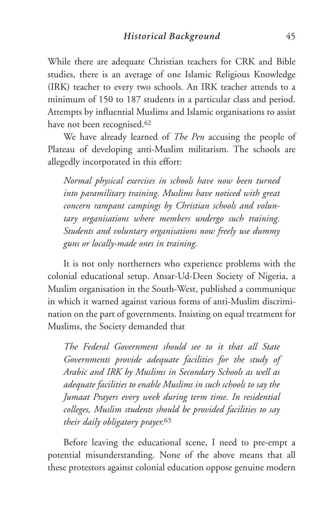While there are adequate Christian teachers for CRK and Bible studies, there is an average of one Islamic Religious Knowledge (IRK) teacher to every two schools. An IRK teacher attends to a minimum of 150 to 187 students in a particular class and period. Attempts by influential Muslims and Islamic organisations to assist have not been recognised.<sup>62</sup>

We have already learned of *The Pen* accusing the people of Plateau of developing anti-Muslim militarism. The schools are allegedly incorporated in this effort:

*Normal physical exercises in schools have now been turned into paramilitary training. Muslims have noticed with great concern rampant campings by Christian schools and voluntary organisations where members undergo such training. Students and voluntary organisations now freely use dummy guns or locally-made ones in training.*

It is not only northerners who experience problems with the colonial educational setup. Ansar-Ud-Deen Society of Nigeria, a Muslim organisation in the South-West, published a communique in which it warned against various forms of anti-Muslim discrimination on the part of governments. Insisting on equal treatment for Muslims, the Society demanded that

*The Federal Government should see to it that all State Governments provide adequate facilities for the study of Arabic and IRK by Muslims in Secondary Schools as well as adequate facilities to enable Muslims in such schools to say the Jumaat Prayers every week during term time. In residential colleges, Muslim students should be provided facilities to say their daily obligatory prayer.*<sup>63</sup>

Before leaving the educational scene, I need to pre-empt a potential misunderstanding. None of the above means that all these protestors against colonial education oppose genuine modern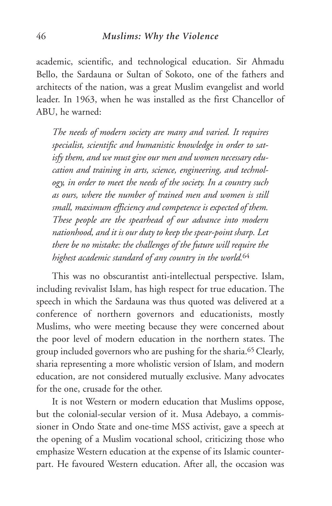academic, scientific, and technological education. Sir Ahmadu Bello, the Sardauna or Sultan of Sokoto, one of the fathers and architects of the nation, was a great Muslim evangelist and world leader. In 1963, when he was installed as the first Chancellor of ABU, he warned:

*The needs of modern society are many and varied. It requires specialist, scientific and humanistic knowledge in order to satisfy them, and we must give our men and women necessary education and training in arts, science, engineering, and technology, in order to meet the needs of the society. In a country such as ours, where the number of trained men and women is still small, maximum efficiency and competence is expected of them. These people are the spearhead of our advance into modern nationhood, and it is our duty to keep the spear-point sharp. Let there be no mistake: the challenges of the future will require the highest academic standard of any country in the world.*<sup>64</sup>

This was no obscurantist anti-intellectual perspective. Islam, including revivalist Islam, has high respect for true education. The speech in which the Sardauna was thus quoted was delivered at a conference of northern governors and educationists, mostly Muslims, who were meeting because they were concerned about the poor level of modern education in the northern states. The group included governors who are pushing for the sharia.65 Clearly, sharia representing a more wholistic version of Islam, and modern education, are not considered mutually exclusive. Many advocates for the one, crusade for the other.

It is not Western or modern education that Muslims oppose, but the colonial-secular version of it. Musa Adebayo, a commissioner in Ondo State and one-time MSS activist, gave a speech at the opening of a Muslim vocational school, criticizing those who emphasize Western education at the expense of its Islamic counterpart. He favoured Western education. After all, the occasion was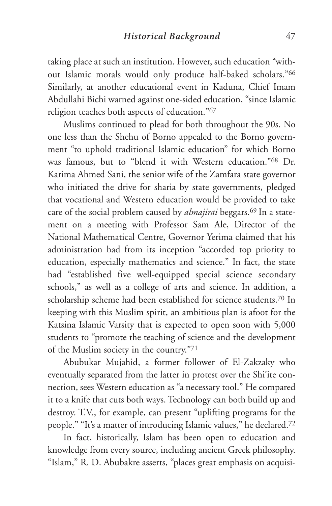taking place at such an institution. However, such education "without Islamic morals would only produce half-baked scholars."66 Similarly, at another educational event in Kaduna, Chief Imam Abdullahi Bichi warned against one-sided education, "since Islamic religion teaches both aspects of education."67

Muslims continued to plead for both throughout the 90s. No one less than the Shehu of Borno appealed to the Borno government "to uphold traditional Islamic education" for which Borno was famous, but to "blend it with Western education."68 Dr. Karima Ahmed Sani, the senior wife of the Zamfara state governor who initiated the drive for sharia by state governments, pledged that vocational and Western education would be provided to take care of the social problem caused by *almajirai* beggars.69 In a statement on a meeting with Professor Sam Ale, Director of the National Mathematical Centre, Governor Yerima claimed that his administration had from its inception "accorded top priority to education, especially mathematics and science." In fact, the state had "established five well-equipped special science secondary schools," as well as a college of arts and science. In addition, a scholarship scheme had been established for science students.70 In keeping with this Muslim spirit, an ambitious plan is afoot for the Katsina Islamic Varsity that is expected to open soon with 5,000 students to "promote the teaching of science and the development of the Muslim society in the country."71

Abubukar Mujahid, a former follower of El-Zakzaky who eventually separated from the latter in protest over the Shi'ite connection, sees Western education as "a necessary tool." He compared it to a knife that cuts both ways. Technology can both build up and destroy. T.V., for example, can present "uplifting programs for the people." "It's a matter of introducing Islamic values," he declared.72

In fact, historically, Islam has been open to education and knowledge from every source, including ancient Greek philosophy. "Islam," R. D. Abubakre asserts, "places great emphasis on acquisi-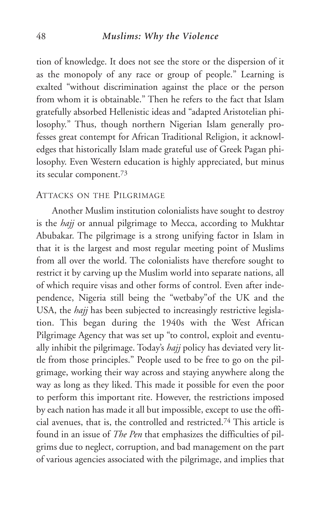#### 48 *Muslims: Why the Violence*

tion of knowledge. It does not see the store or the dispersion of it as the monopoly of any race or group of people." Learning is exalted "without discrimination against the place or the person from whom it is obtainable." Then he refers to the fact that Islam gratefully absorbed Hellenistic ideas and "adapted Aristotelian philosophy." Thus, though northern Nigerian Islam generally professes great contempt for African Traditional Religion, it acknowledges that historically Islam made grateful use of Greek Pagan philosophy. Even Western education is highly appreciated, but minus its secular component.73

## ATTACKS ON THE PILGRIMAGE

Another Muslim institution colonialists have sought to destroy is the *hajj* or annual pilgrimage to Mecca, according to Mukhtar Abubakar. The pilgrimage is a strong unifying factor in Islam in that it is the largest and most regular meeting point of Muslims from all over the world. The colonialists have therefore sought to restrict it by carving up the Muslim world into separate nations, all of which require visas and other forms of control. Even after independence, Nigeria still being the "wetbaby"of the UK and the USA, the *hajj* has been subjected to increasingly restrictive legislation. This began during the 1940s with the West African Pilgrimage Agency that was set up "to control, exploit and eventually inhibit the pilgrimage. Today's *hajj* policy has deviated very little from those principles." People used to be free to go on the pilgrimage, working their way across and staying anywhere along the way as long as they liked. This made it possible for even the poor to perform this important rite. However, the restrictions imposed by each nation has made it all but impossible, except to use the official avenues, that is, the controlled and restricted.74 This article is found in an issue of *The Pen* that emphasizes the difficulties of pilgrims due to neglect, corruption, and bad management on the part of various agencies associated with the pilgrimage, and implies that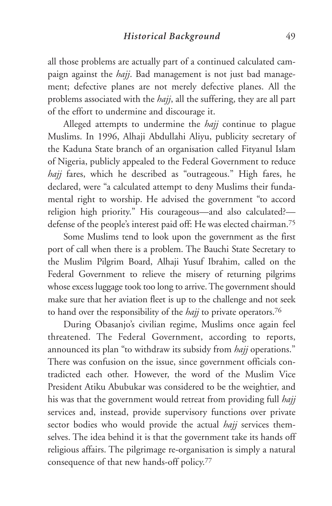all those problems are actually part of a continued calculated campaign against the *hajj*. Bad management is not just bad management; defective planes are not merely defective planes. All the problems associated with the *hajj*, all the suffering, they are all part of the effort to undermine and discourage it.

Alleged attempts to undermine the *hajj* continue to plague Muslims. In 1996, Alhaji Abdullahi Aliyu, publicity secretary of the Kaduna State branch of an organisation called Fityanul Islam of Nigeria, publicly appealed to the Federal Government to reduce *hajj* fares, which he described as "outrageous." High fares, he declared, were "a calculated attempt to deny Muslims their fundamental right to worship. He advised the government "to accord religion high priority." His courageous—and also calculated? defense of the people's interest paid off: He was elected chairman.75

Some Muslims tend to look upon the government as the first port of call when there is a problem. The Bauchi State Secretary to the Muslim Pilgrim Board, Alhaji Yusuf Ibrahim, called on the Federal Government to relieve the misery of returning pilgrims whose excess luggage took too long to arrive. The government should make sure that her aviation fleet is up to the challenge and not seek to hand over the responsibility of the *hajj* to private operators.76

During Obasanjo's civilian regime, Muslims once again feel threatened. The Federal Government, according to reports, announced its plan "to withdraw its subsidy from *hajj* operations." There was confusion on the issue, since government officials contradicted each other. However, the word of the Muslim Vice President Atiku Abubukar was considered to be the weightier, and his was that the government would retreat from providing full *hajj* services and, instead, provide supervisory functions over private sector bodies who would provide the actual *hajj* services themselves. The idea behind it is that the government take its hands off religious affairs. The pilgrimage re-organisation is simply a natural consequence of that new hands-off policy.77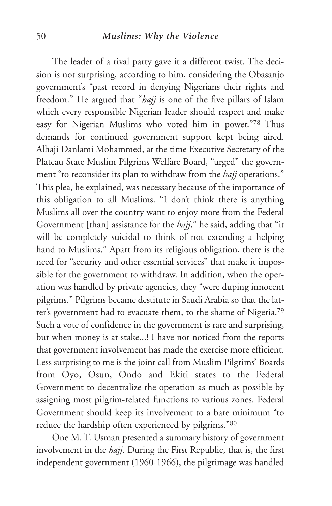#### 50 *Muslims: Why the Violence*

The leader of a rival party gave it a different twist. The decision is not surprising, according to him, considering the Obasanjo government's "past record in denying Nigerians their rights and freedom." He argued that "*hajj* is one of the five pillars of Islam which every responsible Nigerian leader should respect and make easy for Nigerian Muslims who voted him in power."78 Thus demands for continued government support kept being aired. Alhaji Danlami Mohammed, at the time Executive Secretary of the Plateau State Muslim Pilgrims Welfare Board, "urged" the government "to reconsider its plan to withdraw from the *hajj* operations." This plea, he explained, was necessary because of the importance of this obligation to all Muslims. "I don't think there is anything Muslims all over the country want to enjoy more from the Federal Government [than] assistance for the *hajj*," he said, adding that "it will be completely suicidal to think of not extending a helping hand to Muslims." Apart from its religious obligation, there is the need for "security and other essential services" that make it impossible for the government to withdraw. In addition, when the operation was handled by private agencies, they "were duping innocent pilgrims." Pilgrims became destitute in Saudi Arabia so that the latter's government had to evacuate them, to the shame of Nigeria.79 Such a vote of confidence in the government is rare and surprising, but when money is at stake...! I have not noticed from the reports that government involvement has made the exercise more efficient. Less surprising to me is the joint call from Muslim Pilgrims' Boards from Oyo, Osun, Ondo and Ekiti states to the Federal Government to decentralize the operation as much as possible by assigning most pilgrim-related functions to various zones. Federal Government should keep its involvement to a bare minimum "to reduce the hardship often experienced by pilgrims."80

One M. T. Usman presented a summary history of government involvement in the *hajj*. During the First Republic, that is, the first independent government (1960-1966), the pilgrimage was handled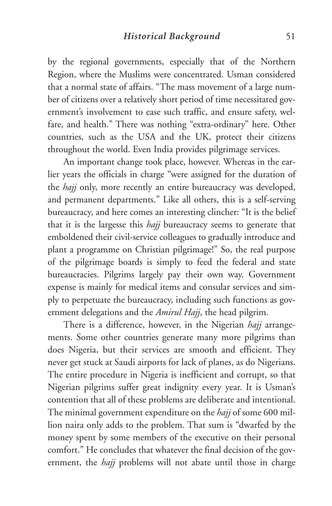by the regional governments, especially that of the Northern Region, where the Muslims were concentrated. Usman considered that a normal state of affairs. "The mass movement of a large number of citizens over a relatively short period of time necessitated government's involvement to ease such traffic, and ensure safety, welfare, and health." There was nothing "extra-ordinary" here. Other countries, such as the USA and the UK, protect their citizens throughout the world. Even India provides pilgrimage services.

An important change took place, however. Whereas in the earlier years the officials in charge "were assigned for the duration of the *hajj* only, more recently an entire bureaucracy was developed, and permanent departments." Like all others, this is a self-serving bureaucracy, and here comes an interesting clincher: "It is the belief that it is the largesse this *hajj* bureaucracy seems to generate that emboldened their civil-service colleagues to gradually introduce and plant a programme on Christian pilgrimage!" So, the real purpose of the pilgrimage boards is simply to feed the federal and state bureaucracies. Pilgrims largely pay their own way. Government expense is mainly for medical items and consular services and simply to perpetuate the bureaucracy, including such functions as government delegations and the *Amirul Hajj*, the head pilgrim.

There is a difference, however, in the Nigerian *hajj* arrangements. Some other countries generate many more pilgrims than does Nigeria, but their services are smooth and efficient. They never get stuck at Saudi airports for lack of planes, as do Nigerians. The entire procedure in Nigeria is inefficient and corrupt, so that Nigerian pilgrims suffer great indignity every year. It is Usman's contention that all of these problems are deliberate and intentional. The minimal government expenditure on the *hajj* of some 600 million naira only adds to the problem. That sum is "dwarfed by the money spent by some members of the executive on their personal comfort." He concludes that whatever the final decision of the government, the *hajj* problems will not abate until those in charge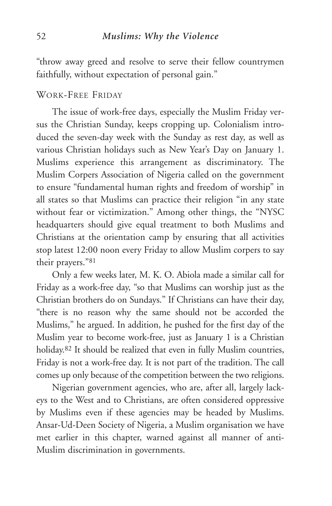"throw away greed and resolve to serve their fellow countrymen faithfully, without expectation of personal gain."

## WORK-FREE FRIDAY

The issue of work-free days, especially the Muslim Friday versus the Christian Sunday, keeps cropping up. Colonialism introduced the seven-day week with the Sunday as rest day, as well as various Christian holidays such as New Year's Day on January 1. Muslims experience this arrangement as discriminatory. The Muslim Corpers Association of Nigeria called on the government to ensure "fundamental human rights and freedom of worship" in all states so that Muslims can practice their religion "in any state without fear or victimization." Among other things, the "NYSC headquarters should give equal treatment to both Muslims and Christians at the orientation camp by ensuring that all activities stop latest 12:00 noon every Friday to allow Muslim corpers to say their prayers."81

Only a few weeks later, M. K. O. Abiola made a similar call for Friday as a work-free day, "so that Muslims can worship just as the Christian brothers do on Sundays." If Christians can have their day, "there is no reason why the same should not be accorded the Muslims," he argued. In addition, he pushed for the first day of the Muslim year to become work-free, just as January 1 is a Christian holiday.<sup>82</sup> It should be realized that even in fully Muslim countries, Friday is not a work-free day. It is not part of the tradition. The call comes up only because of the competition between the two religions.

Nigerian government agencies, who are, after all, largely lackeys to the West and to Christians, are often considered oppressive by Muslims even if these agencies may be headed by Muslims. Ansar-Ud-Deen Society of Nigeria, a Muslim organisation we have met earlier in this chapter, warned against all manner of anti-Muslim discrimination in governments.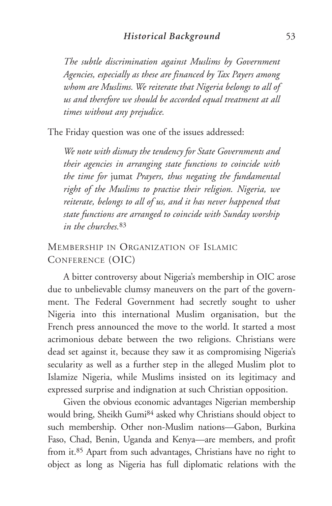*The subtle discrimination against Muslims by Government Agencies, especially as these are financed by Tax Payers among whom are Muslims. We reiterate that Nigeria belongs to all of us and therefore we should be accorded equal treatment at all times without any prejudice.*

The Friday question was one of the issues addressed:

*We note with dismay the tendency for State Governments and their agencies in arranging state functions to coincide with the time for* jumat *Prayers, thus negating the fundamental right of the Muslims to practise their religion. Nigeria, we reiterate, belongs to all of us, and it has never happened that state functions are arranged to coincide with Sunday worship in the churches.*<sup>83</sup>

# MEMBERSHIP IN ORGANIZATION OF ISLAMIC CONFERENCE (OIC)

A bitter controversy about Nigeria's membership in OIC arose due to unbelievable clumsy maneuvers on the part of the government. The Federal Government had secretly sought to usher Nigeria into this international Muslim organisation, but the French press announced the move to the world. It started a most acrimonious debate between the two religions. Christians were dead set against it, because they saw it as compromising Nigeria's secularity as well as a further step in the alleged Muslim plot to Islamize Nigeria, while Muslims insisted on its legitimacy and expressed surprise and indignation at such Christian opposition.

Given the obvious economic advantages Nigerian membership would bring, Sheikh Gumi84 asked why Christians should object to such membership. Other non-Muslim nations—Gabon, Burkina Faso, Chad, Benin, Uganda and Kenya—are members, and profit from it.85 Apart from such advantages, Christians have no right to object as long as Nigeria has full diplomatic relations with the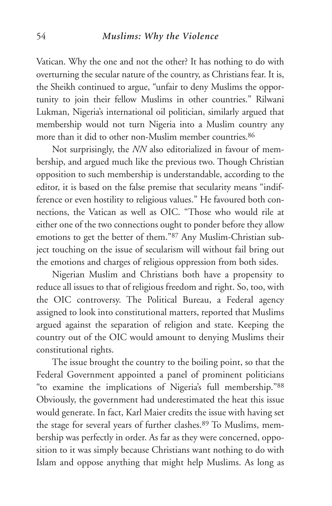#### 54 *Muslims: Why the Violence*

Vatican. Why the one and not the other? It has nothing to do with overturning the secular nature of the country, as Christians fear. It is, the Sheikh continued to argue, "unfair to deny Muslims the opportunity to join their fellow Muslims in other countries." Rilwani Lukman, Nigeria's international oil politician, similarly argued that membership would not turn Nigeria into a Muslim country any more than it did to other non-Muslim member countries.<sup>86</sup>

Not surprisingly, the *NN* also editorialized in favour of membership, and argued much like the previous two. Though Christian opposition to such membership is understandable, according to the editor, it is based on the false premise that secularity means "indifference or even hostility to religious values." He favoured both connections, the Vatican as well as OIC. "Those who would rile at either one of the two connections ought to ponder before they allow emotions to get the better of them."87 Any Muslim-Christian subject touching on the issue of secularism will without fail bring out the emotions and charges of religious oppression from both sides.

Nigerian Muslim and Christians both have a propensity to reduce all issues to that of religious freedom and right. So, too, with the OIC controversy. The Political Bureau, a Federal agency assigned to look into constitutional matters, reported that Muslims argued against the separation of religion and state. Keeping the country out of the OIC would amount to denying Muslims their constitutional rights.

The issue brought the country to the boiling point, so that the Federal Government appointed a panel of prominent politicians "to examine the implications of Nigeria's full membership."88 Obviously, the government had underestimated the heat this issue would generate. In fact, Karl Maier credits the issue with having set the stage for several years of further clashes.89 To Muslims, membership was perfectly in order. As far as they were concerned, opposition to it was simply because Christians want nothing to do with Islam and oppose anything that might help Muslims. As long as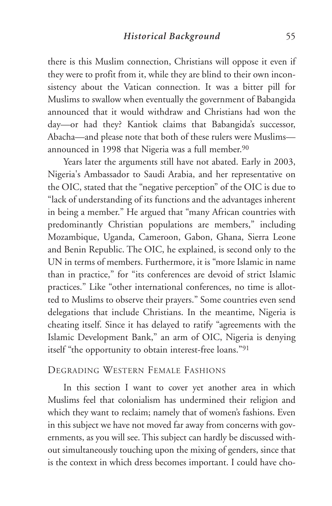there is this Muslim connection, Christians will oppose it even if they were to profit from it, while they are blind to their own inconsistency about the Vatican connection. It was a bitter pill for Muslims to swallow when eventually the government of Babangida announced that it would withdraw and Christians had won the day—or had they? Kantiok claims that Babangida's successor, Abacha—and please note that both of these rulers were Muslims announced in 1998 that Nigeria was a full member.<sup>90</sup>

Years later the arguments still have not abated. Early in 2003, Nigeria's Ambassador to Saudi Arabia, and her representative on the OIC, stated that the "negative perception" of the OIC is due to "lack of understanding of its functions and the advantages inherent in being a member." He argued that "many African countries with predominantly Christian populations are members," including Mozambique, Uganda, Cameroon, Gabon, Ghana, Sierra Leone and Benin Republic. The OIC, he explained, is second only to the UN in terms of members. Furthermore, it is "more Islamic in name than in practice," for "its conferences are devoid of strict Islamic practices." Like "other international conferences, no time is allotted to Muslims to observe their prayers." Some countries even send delegations that include Christians. In the meantime, Nigeria is cheating itself. Since it has delayed to ratify "agreements with the Islamic Development Bank," an arm of OIC, Nigeria is denying itself "the opportunity to obtain interest-free loans."91

## DEGRADING WESTERN FEMALE FASHIONS

In this section I want to cover yet another area in which Muslims feel that colonialism has undermined their religion and which they want to reclaim; namely that of women's fashions. Even in this subject we have not moved far away from concerns with governments, as you will see. This subject can hardly be discussed without simultaneously touching upon the mixing of genders, since that is the context in which dress becomes important. I could have cho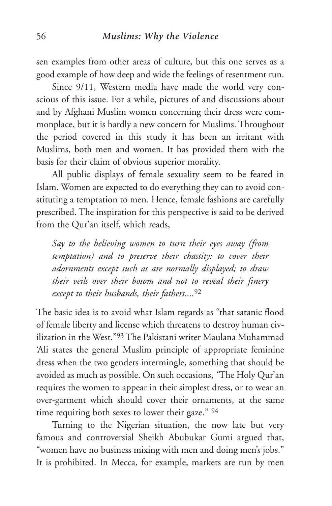sen examples from other areas of culture, but this one serves as a good example of how deep and wide the feelings of resentment run.

Since 9/11, Western media have made the world very conscious of this issue. For a while, pictures of and discussions about and by Afghani Muslim women concerning their dress were commonplace, but it is hardly a new concern for Muslims. Throughout the period covered in this study it has been an irritant with Muslims, both men and women. It has provided them with the basis for their claim of obvious superior morality.

All public displays of female sexuality seem to be feared in Islam. Women are expected to do everything they can to avoid constituting a temptation to men. Hence, female fashions are carefully prescribed. The inspiration for this perspective is said to be derived from the Qur'an itself, which reads,

*Say to the believing women to turn their eyes away (from temptation) and to preserve their chastity: to cover their adornments except such as are normally displayed; to draw their veils over their bosom and not to reveal their finery except to their husbands, their fathers....*<sup>92</sup>

The basic idea is to avoid what Islam regards as "that satanic flood of female liberty and license which threatens to destroy human civilization in the West.<sup>"93</sup> The Pakistani writer Maulana Muhammad 'Ali states the general Muslim principle of appropriate feminine dress when the two genders intermingle, something that should be avoided as much as possible. On such occasions, *"*The Holy Qur'an requires the women to appear in their simplest dress, or to wear an over-garment which should cover their ornaments, at the same time requiring both sexes to lower their gaze." 94

Turning to the Nigerian situation, the now late but very famous and controversial Sheikh Abubukar Gumi argued that, "women have no business mixing with men and doing men's jobs." It is prohibited. In Mecca, for example, markets are run by men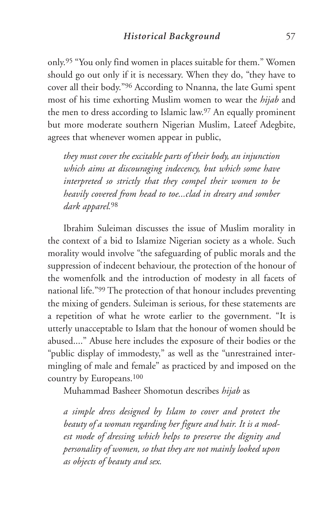only.95 "You only find women in places suitable for them." Women should go out only if it is necessary. When they do, "they have to cover all their body."96 According to Nnanna, the late Gumi spent most of his time exhorting Muslim women to wear the *hijab* and the men to dress according to Islamic law.97 An equally prominent but more moderate southern Nigerian Muslim, Lateef Adegbite, agrees that whenever women appear in public,

*they must cover the excitable parts of their body, an injunction which aims at discouraging indecency, but which some have interpreted so strictly that they compel their women to be heavily covered from head to toe...clad in dreary and somber dark apparel.*<sup>98</sup>

Ibrahim Suleiman discusses the issue of Muslim morality in the context of a bid to Islamize Nigerian society as a whole. Such morality would involve "the safeguarding of public morals and the suppression of indecent behaviour, the protection of the honour of the womenfolk and the introduction of modesty in all facets of national life."99 The protection of that honour includes preventing the mixing of genders. Suleiman is serious, for these statements are a repetition of what he wrote earlier to the government. "It is utterly unacceptable to Islam that the honour of women should be abused...." Abuse here includes the exposure of their bodies or the "public display of immodesty," as well as the "unrestrained intermingling of male and female" as practiced by and imposed on the country by Europeans.100

Muhammad Basheer Shomotun describes *hijab* as

*a simple dress designed by Islam to cover and protect the beauty of a woman regarding her figure and hair. It is a modest mode of dressing which helps to preserve the dignity and personality of women, so that they are not mainly looked upon as objects of beauty and sex.*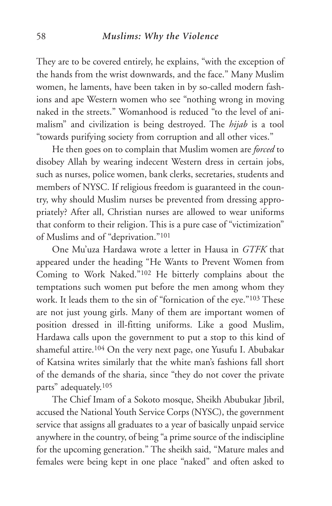They are to be covered entirely, he explains, "with the exception of the hands from the wrist downwards, and the face." Many Muslim women, he laments, have been taken in by so-called modern fashions and ape Western women who see "nothing wrong in moving naked in the streets." Womanhood is reduced "to the level of animalism" and civilization is being destroyed. The *hijab* is a tool "towards purifying society from corruption and all other vices."

He then goes on to complain that Muslim women are *forced* to disobey Allah by wearing indecent Western dress in certain jobs, such as nurses, police women, bank clerks, secretaries, students and members of NYSC. If religious freedom is guaranteed in the country, why should Muslim nurses be prevented from dressing appropriately? After all, Christian nurses are allowed to wear uniforms that conform to their religion. This is a pure case of "victimization" of Muslims and of "deprivation."101

One Mu'uza Hardawa wrote a letter in Hausa in *GTFK* that appeared under the heading "He Wants to Prevent Women from Coming to Work Naked."102 He bitterly complains about the temptations such women put before the men among whom they work. It leads them to the sin of "fornication of the eye."103 These are not just young girls. Many of them are important women of position dressed in ill-fitting uniforms. Like a good Muslim, Hardawa calls upon the government to put a stop to this kind of shameful attire.104 On the very next page, one Yusufu I. Abubakar of Katsina writes similarly that the white man's fashions fall short of the demands of the sharia, since "they do not cover the private parts" adequately.105

The Chief Imam of a Sokoto mosque, Sheikh Abubukar Jibril, accused the National Youth Service Corps (NYSC), the government service that assigns all graduates to a year of basically unpaid service anywhere in the country, of being "a prime source of the indiscipline for the upcoming generation." The sheikh said, "Mature males and females were being kept in one place "naked" and often asked to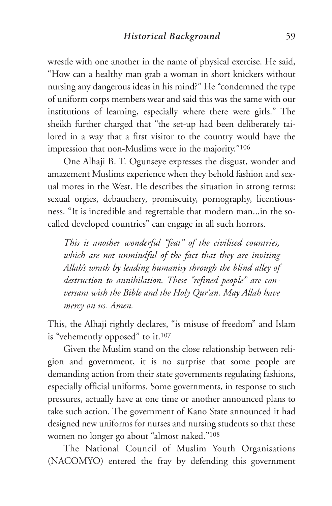wrestle with one another in the name of physical exercise. He said, "How can a healthy man grab a woman in short knickers without nursing any dangerous ideas in his mind?" He "condemned the type of uniform corps members wear and said this was the same with our institutions of learning, especially where there were girls." The sheikh further charged that "the set-up had been deliberately tailored in a way that a first visitor to the country would have the impression that non-Muslims were in the majority."106

One Alhaji B. T. Ogunseye expresses the disgust, wonder and amazement Muslims experience when they behold fashion and sexual mores in the West. He describes the situation in strong terms: sexual orgies, debauchery, promiscuity, pornography, licentiousness. "It is incredible and regrettable that modern man...in the socalled developed countries" can engage in all such horrors.

*This is another wonderful "feat" of the civilised countries, which are not unmindful of the fact that they are inviting Allah's wrath by leading humanity through the blind alley of destruction to annihilation. These "refined people" are conversant with the Bible and the Holy Qur'an. May Allah have mercy on us. Amen.*

This, the Alhaji rightly declares, "is misuse of freedom" and Islam is "vehemently opposed" to it.<sup>107</sup>

Given the Muslim stand on the close relationship between religion and government, it is no surprise that some people are demanding action from their state governments regulating fashions, especially official uniforms. Some governments, in response to such pressures, actually have at one time or another announced plans to take such action. The government of Kano State announced it had designed new uniforms for nurses and nursing students so that these women no longer go about "almost naked."108

The National Council of Muslim Youth Organisations (NACOMYO) entered the fray by defending this government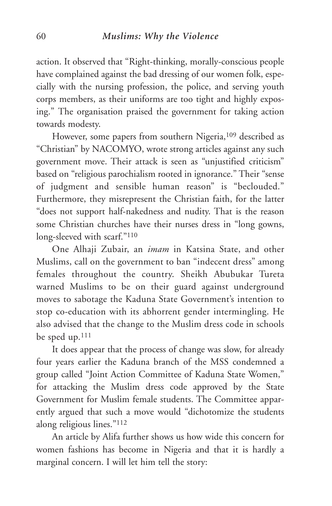action. It observed that "Right-thinking, morally-conscious people have complained against the bad dressing of our women folk, especially with the nursing profession, the police, and serving youth corps members, as their uniforms are too tight and highly exposing." The organisation praised the government for taking action towards modesty.

However, some papers from southern Nigeria,109 described as "Christian" by NACOMYO, wrote strong articles against any such government move. Their attack is seen as "unjustified criticism" based on "religious parochialism rooted in ignorance." Their "sense of judgment and sensible human reason" is "beclouded." Furthermore, they misrepresent the Christian faith, for the latter "does not support half-nakedness and nudity. That is the reason some Christian churches have their nurses dress in "long gowns, long-sleeved with scarf."110

One Alhaji Zubair, an *imam* in Katsina State, and other Muslims, call on the government to ban "indecent dress" among females throughout the country. Sheikh Abubukar Tureta warned Muslims to be on their guard against underground moves to sabotage the Kaduna State Government's intention to stop co-education with its abhorrent gender intermingling. He also advised that the change to the Muslim dress code in schools be sped up.111

It does appear that the process of change was slow, for already four years earlier the Kaduna branch of the MSS condemned a group called "Joint Action Committee of Kaduna State Women," for attacking the Muslim dress code approved by the State Government for Muslim female students. The Committee apparently argued that such a move would "dichotomize the students along religious lines."112

An article by Alifa further shows us how wide this concern for women fashions has become in Nigeria and that it is hardly a marginal concern. I will let him tell the story: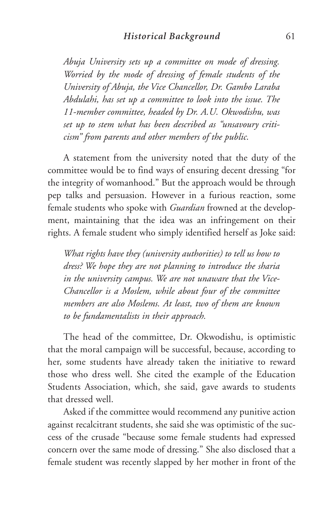*Abuja University sets up a committee on mode of dressing. Worried by the mode of dressing of female students of the University of Abuja, the Vice Chancellor, Dr. Gambo Laraba Abdulahi, has set up a committee to look into the issue. The 11-member committee, headed by Dr. A.U. Okwodishu, was set up to stem what has been described as "unsavoury criticism" from parents and other members of the public.*

A statement from the university noted that the duty of the committee would be to find ways of ensuring decent dressing "for the integrity of womanhood." But the approach would be through pep talks and persuasion. However in a furious reaction, some female students who spoke with *Guardian* frowned at the development, maintaining that the idea was an infringement on their rights. A female student who simply identified herself as Joke said:

*What rights have they (university authorities) to tell us how to dress? We hope they are not planning to introduce the sharia in the university campus. We are not unaware that the Vice-Chancellor is a Moslem, while about four of the committee members are also Moslems. At least, two of them are known to be fundamentalists in their approach.*

The head of the committee, Dr. Okwodishu, is optimistic that the moral campaign will be successful, because, according to her, some students have already taken the initiative to reward those who dress well. She cited the example of the Education Students Association, which, she said, gave awards to students that dressed well.

Asked if the committee would recommend any punitive action against recalcitrant students, she said she was optimistic of the success of the crusade "because some female students had expressed concern over the same mode of dressing." She also disclosed that a female student was recently slapped by her mother in front of the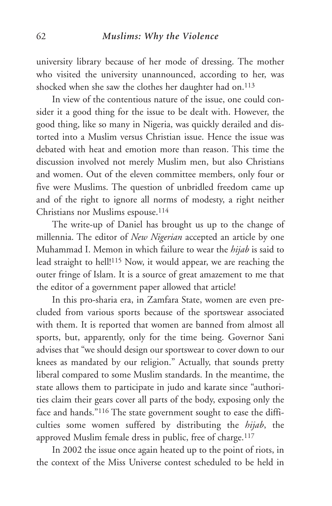university library because of her mode of dressing. The mother who visited the university unannounced, according to her, was shocked when she saw the clothes her daughter had on.<sup>113</sup>

In view of the contentious nature of the issue, one could consider it a good thing for the issue to be dealt with. However, the good thing, like so many in Nigeria, was quickly derailed and distorted into a Muslim versus Christian issue. Hence the issue was debated with heat and emotion more than reason. This time the discussion involved not merely Muslim men, but also Christians and women. Out of the eleven committee members, only four or five were Muslims. The question of unbridled freedom came up and of the right to ignore all norms of modesty, a right neither Christians nor Muslims espouse.114

The write-up of Daniel has brought us up to the change of millennia. The editor of *New Nigerian* accepted an article by one Muhammad I. Memon in which failure to wear the *hijab* is said to lead straight to hell!115 Now, it would appear, we are reaching the outer fringe of Islam. It is a source of great amazement to me that the editor of a government paper allowed that article!

In this pro-sharia era, in Zamfara State, women are even precluded from various sports because of the sportswear associated with them. It is reported that women are banned from almost all sports, but, apparently, only for the time being. Governor Sani advises that "we should design our sportswear to cover down to our knees as mandated by our religion." Actually, that sounds pretty liberal compared to some Muslim standards. In the meantime, the state allows them to participate in judo and karate since "authorities claim their gears cover all parts of the body, exposing only the face and hands."116 The state government sought to ease the difficulties some women suffered by distributing the *hijab*, the approved Muslim female dress in public, free of charge.<sup>117</sup>

In 2002 the issue once again heated up to the point of riots, in the context of the Miss Universe contest scheduled to be held in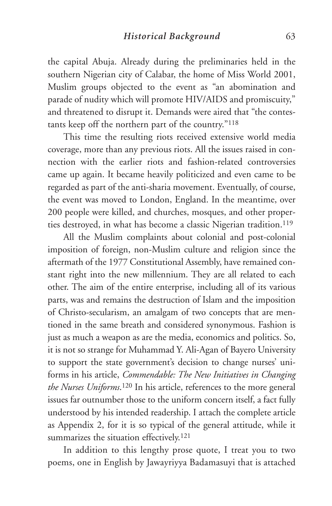the capital Abuja. Already during the preliminaries held in the southern Nigerian city of Calabar, the home of Miss World 2001, Muslim groups objected to the event as "an abomination and parade of nudity which will promote HIV/AIDS and promiscuity," and threatened to disrupt it. Demands were aired that "the contestants keep off the northern part of the country."118

This time the resulting riots received extensive world media coverage, more than any previous riots. All the issues raised in connection with the earlier riots and fashion-related controversies came up again. It became heavily politicized and even came to be regarded as part of the anti-sharia movement. Eventually, of course, the event was moved to London, England. In the meantime, over 200 people were killed, and churches, mosques, and other properties destroyed, in what has become a classic Nigerian tradition.<sup>119</sup>

All the Muslim complaints about colonial and post-colonial imposition of foreign, non-Muslim culture and religion since the aftermath of the 1977 Constitutional Assembly, have remained constant right into the new millennium. They are all related to each other. The aim of the entire enterprise, including all of its various parts, was and remains the destruction of Islam and the imposition of Christo-secularism, an amalgam of two concepts that are mentioned in the same breath and considered synonymous. Fashion is just as much a weapon as are the media, economics and politics. So, it is not so strange for Muhammad Y. Ali-Agan of Bayero University to support the state government's decision to change nurses' uniforms in his article, *Commendable: The New Initiatives in Changing the Nurses Uniforms*.120 In his article, references to the more general issues far outnumber those to the uniform concern itself, a fact fully understood by his intended readership. I attach the complete article as Appendix 2, for it is so typical of the general attitude, while it summarizes the situation effectively.<sup>121</sup>

In addition to this lengthy prose quote, I treat you to two poems, one in English by Jawayriyya Badamasuyi that is attached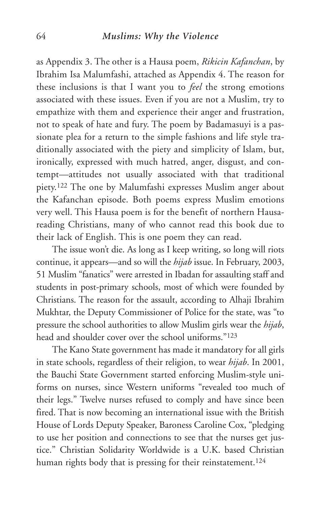#### 64 *Muslims: Why the Violence*

as Appendix 3. The other is a Hausa poem, *Rikicin Kafanchan*, by Ibrahim Isa Malumfashi, attached as Appendix 4. The reason for these inclusions is that I want you to *feel* the strong emotions associated with these issues. Even if you are not a Muslim, try to empathize with them and experience their anger and frustration, not to speak of hate and fury. The poem by Badamasuyi is a passionate plea for a return to the simple fashions and life style traditionally associated with the piety and simplicity of Islam, but, ironically, expressed with much hatred, anger, disgust, and contempt—attitudes not usually associated with that traditional piety.122 The one by Malumfashi expresses Muslim anger about the Kafanchan episode. Both poems express Muslim emotions very well. This Hausa poem is for the benefit of northern Hausareading Christians, many of who cannot read this book due to their lack of English. This is one poem they can read.

The issue won't die. As long as I keep writing, so long will riots continue, it appears—and so will the *hijab* issue. In February, 2003, 51 Muslim "fanatics" were arrested in Ibadan for assaulting staff and students in post-primary schools, most of which were founded by Christians. The reason for the assault, according to Alhaji Ibrahim Mukhtar, the Deputy Commissioner of Police for the state, was "to pressure the school authorities to allow Muslim girls wear the *hijab*, head and shoulder cover over the school uniforms."123

The Kano State government has made it mandatory for all girls in state schools, regardless of their religion, to wear *hijab*. In 2001, the Bauchi State Government started enforcing Muslim-style uniforms on nurses, since Western uniforms "revealed too much of their legs." Twelve nurses refused to comply and have since been fired. That is now becoming an international issue with the British House of Lords Deputy Speaker, Baroness Caroline Cox, "pledging to use her position and connections to see that the nurses get justice." Christian Solidarity Worldwide is a U.K. based Christian human rights body that is pressing for their reinstatement.<sup>124</sup>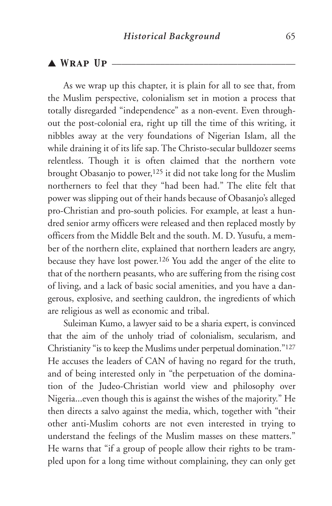## $\triangle$  WRAP UP  $-$

As we wrap up this chapter, it is plain for all to see that, from the Muslim perspective, colonialism set in motion a process that totally disregarded "independence" as a non-event. Even throughout the post-colonial era, right up till the time of this writing, it nibbles away at the very foundations of Nigerian Islam, all the while draining it of its life sap. The Christo-secular bulldozer seems relentless. Though it is often claimed that the northern vote brought Obasanjo to power,<sup>125</sup> it did not take long for the Muslim northerners to feel that they "had been had." The elite felt that power was slipping out of their hands because of Obasanjo's alleged pro-Christian and pro-south policies. For example, at least a hundred senior army officers were released and then replaced mostly by officers from the Middle Belt and the south. M. D. Yusufu, a member of the northern elite, explained that northern leaders are angry, because they have lost power.126 You add the anger of the elite to that of the northern peasants, who are suffering from the rising cost of living, and a lack of basic social amenities, and you have a dangerous, explosive, and seething cauldron, the ingredients of which are religious as well as economic and tribal.

Suleiman Kumo, a lawyer said to be a sharia expert, is convinced that the aim of the unholy triad of colonialism, secularism, and Christianity "is to keep the Muslims under perpetual domination."127 He accuses the leaders of CAN of having no regard for the truth, and of being interested only in "the perpetuation of the domination of the Judeo-Christian world view and philosophy over Nigeria...even though this is against the wishes of the majority." He then directs a salvo against the media, which, together with "their other anti-Muslim cohorts are not even interested in trying to understand the feelings of the Muslim masses on these matters." He warns that "if a group of people allow their rights to be trampled upon for a long time without complaining, they can only get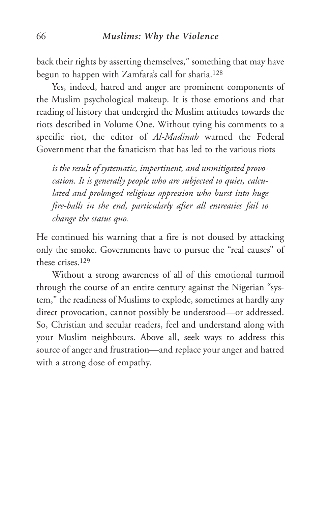back their rights by asserting themselves," something that may have begun to happen with Zamfara's call for sharia.128

Yes, indeed, hatred and anger are prominent components of the Muslim psychological makeup. It is those emotions and that reading of history that undergird the Muslim attitudes towards the riots described in Volume One. Without tying his comments to a specific riot, the editor of *Al-Madinah* warned the Federal Government that the fanaticism that has led to the various riots

*is the result of systematic, impertinent, and unmitigated provocation. It is generally people who are subjected to quiet, calculated and prolonged religious oppression who burst into huge fire-balls in the end, particularly after all entreaties fail to change the status quo.*

He continued his warning that a fire is not doused by attacking only the smoke. Governments have to pursue the "real causes" of these crises.129

Without a strong awareness of all of this emotional turmoil through the course of an entire century against the Nigerian "system," the readiness of Muslims to explode, sometimes at hardly any direct provocation, cannot possibly be understood—or addressed. So, Christian and secular readers, feel and understand along with your Muslim neighbours. Above all, seek ways to address this source of anger and frustration—and replace your anger and hatred with a strong dose of empathy.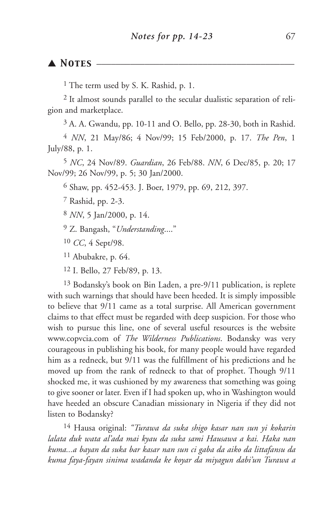#### ▲ *Notes* \_\_\_\_\_\_\_\_\_\_\_\_\_\_\_\_\_\_\_\_\_\_\_\_\_\_\_\_\_\_\_\_\_\_\_\_\_\_\_\_\_

<sup>1</sup> The term used by S. K. Rashid, p. 1.

2 It almost sounds parallel to the secular dualistic separation of religion and marketplace.

3 A. A. Gwandu, pp. 10-11 and O. Bello, pp. 28-30, both in Rashid.

4 *NN*, 21 May/86; 4 Nov/99; 15 Feb/2000, p. 17. *The Pen*, 1 July/88, p. 1.

5 *NC*, 24 Nov/89. *Guardian*, 26 Feb/88. *NN*, 6 Dec/85, p. 20; 17 Nov/99; 26 Nov/99, p. 5; 30 Jan/2000.

6 Shaw, pp. 452-453. J. Boer, 1979, pp. 69, 212, 397.

7 Rashid, pp. 2-3.

8 *NN*, 5 Jan/2000, p. 14.

9 Z. Bangash, "*Understanding*...."

10 *CC*, 4 Sept/98.

11 Abubakre, p. 64.

12 I. Bello, 27 Feb/89, p. 13.

13 Bodansky's book on Bin Laden, a pre-9/11 publication, is replete with such warnings that should have been heeded. It is simply impossible to believe that 9/11 came as a total surprise. All American government claims to that effect must be regarded with deep suspicion. For those who wish to pursue this line, one of several useful resources is the website www.copvcia.com of *The Wilderness Publications*. Bodansky was very courageous in publishing his book, for many people would have regarded him as a redneck, but 9/11 was the fulfillment of his predictions and he moved up from the rank of redneck to that of prophet. Though 9/11 shocked me, it was cushioned by my awareness that something was going to give sooner or later. Even if I had spoken up, who in Washington would have heeded an obscure Canadian missionary in Nigeria if they did not listen to Bodansky?

14 Hausa original: *"Turawa da suka shigo kasar nan sun yi kokarin lalata duk wata al'ada mai kyau da suka sami Hausawa a kai. Haka nan kuma...a bayan da suka bar kasar nan sun ci gaba da aiko da littafansu da kuma faya-fayan sinima wadanda ke koyar da miyagun dabi'un Turawa a*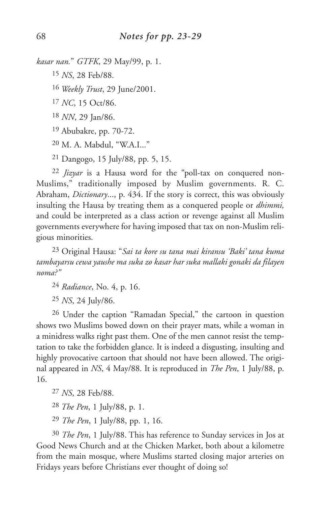```
kasar nan." GTFK, 29 May/99, p. 1.
```
15 *NS*, 28 Feb/88.

16 *Weekly Trust*, 29 June/2001.

17 *NC*, 15 Oct/86.

18 *NN*, 29 Jan/86.

19 Abubakre, pp. 70-72.

20 M. A. Mabdul, "W.A.I..."

21 Dangogo, 15 July/88, pp. 5, 15.

22 *Jizyar* is a Hausa word for the "poll-tax on conquered non-Muslims," traditionally imposed by Muslim governments. R. C. Abraham, *Dictionary*..., p. 434. If the story is correct, this was obviously insulting the Hausa by treating them as a conquered people or *dhimmi,* and could be interpreted as a class action or revenge against all Muslim governments everywhere for having imposed that tax on non-Muslim religious minorities.

23 Original Hausa: "*Sai ta kore su tana mai kiransu 'Baki' tana kuma tambayarsu cewa yaushe ma suka zo kasar har suka mallaki gonaki da filayen noma?"*

24 *Radiance*, No. 4, p. 16.

25 *NS*, 24 July/86.

26 Under the caption "Ramadan Special," the cartoon in question shows two Muslims bowed down on their prayer mats, while a woman in a minidress walks right past them. One of the men cannot resist the temptation to take the forbidden glance. It is indeed a disgusting, insulting and highly provocative cartoon that should not have been allowed. The original appeared in *NS*, 4 May/88. It is reproduced in *The Pen*, 1 July/88, p. 16.

27 *NS*, 28 Feb/88.

28 *The Pen*, 1 July/88, p. 1.

29 *The Pen*, 1 July/88, pp. 1, 16.

30 *The Pen*, 1 July/88. This has reference to Sunday services in Jos at Good News Church and at the Chicken Market, both about a kilometre from the main mosque, where Muslims started closing major arteries on Fridays years before Christians ever thought of doing so!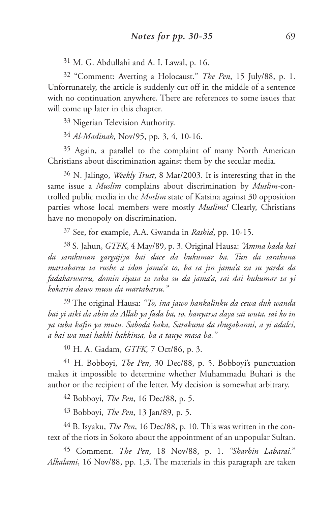31 M. G. Abdullahi and A. I. Lawal, p. 16.

32 "Comment: Averting a Holocaust." *The Pen*, 15 July/88, p. 1. Unfortunately, the article is suddenly cut off in the middle of a sentence with no continuation anywhere. There are references to some issues that will come up later in this chapter.

33 Nigerian Television Authority.

34 *Al-Madinah*, Nov/95, pp. 3, 4, 10-16.

35 Again, a parallel to the complaint of many North American Christians about discrimination against them by the secular media.

36 N. Jalingo, *Weekly Trust*, 8 Mar/2003. It is interesting that in the same issue a *Muslim* complains about discrimination by *Muslim*-controlled public media in the *Muslim* state of Katsina against 30 opposition parties whose local members were mostly *Muslims!* Clearly, Christians have no monopoly on discrimination.

37 See, for example, A.A. Gwanda in *Rashid*, pp. 10-15.

38 S. Jahun, *GTFK*, 4 May/89, p. 3. Original Hausa: *"Amma hada kai da sarakunan gargajiya bai dace da hukumar ba. Tun da sarakuna martabarsu ta rushe a idon jama'a to, ba sa jin jama'a za su yarda da fadakarwarsu, domin siyasa ta raba su da jama'a, sai dai hukumar ta yi kokarin dawo musu da martabarsu."*

39 The original Hausa: *"To, ina jawo hankalinku da cewa duk wanda bai yi aiki da abin da Allah ya fada ba, to, hanyarsa daya sai wuta, sai ko in ya tuba kafin ya mutu. Saboda haka, Sarakuna da shugabanni, a yi adalci, a bai wa mai hakki hakkinsa, ba a tauye masa ba."*

40 H. A. Gadam, *GTFK,* 7 Oct/86, p. 3.

41 H. Bobboyi, *The Pen*, 30 Dec/88, p. 5. Bobboyi's punctuation makes it impossible to determine whether Muhammadu Buhari is the author or the recipient of the letter. My decision is somewhat arbitrary.

42 Bobboyi, *The Pen*, 16 Dec/88, p. 5.

43 Bobboyi, *The Pen*, 13 Jan/89, p. 5.

44 B. Isyaku, *The Pen*, 16 Dec/88, p. 10. This was written in the context of the riots in Sokoto about the appointment of an unpopular Sultan.

45 Comment. *The Pen*, 18 Nov/88, p. 1. *"Sharhin Labarai*." *Alkalami*, 16 Nov/88, pp. 1,3. The materials in this paragraph are taken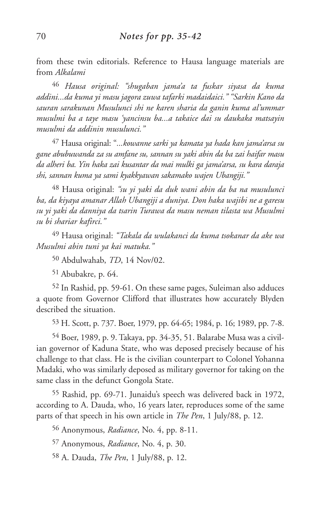from these twin editorials. Reference to Hausa language materials are from *Alkalami*

46 *Hausa original: "shugaban jama'a ta fuskar siyasa da kuma addini...da kuma yi masu jagora zuwa tafarki madaidaici." "Sarkin Kano da sauran sarakunan Musulunci shi ne karen sharia da ganin kuma al'ummar musulmi ba a taye masu 'yancinsu ba...a takaice dai su daukaka matsayin musulmi da addinin musulunci."*

47 Hausa original: "*...kowanne sarki ya kamata ya hada kan jama'arsa su gane abubuwanda za su amfane su, sannan su yaki abin da ba zai haifar masu da alheri ba. Yin haka zai kusantar da mai mulki ga jama'arsa, su kara daraja shi, sannan kuma ya sami kyakkyawan sakamako wajen Ubangiji."*

48 Hausa original: *"su yi yaki da duk wani abin da ba na musulunci ba, da kiyaya amanar Allah Ubangiji a duniya. Don haka wajibi ne a garesu su yi yaki da danniya da tsarin Turawa da masu neman tilasta wa Musulmi su bi shariar kafirci."*

49 Hausa original: *"Takala da wulakanci da kuma tsokanar da ake wa Musulmi abin tuni ya kai matuka."*

50 Abdulwahab, *TD*, 14 Nov/02.

51 Abubakre, p. 64.

52 In Rashid, pp. 59-61. On these same pages, Suleiman also adduces a quote from Governor Clifford that illustrates how accurately Blyden described the situation.

53 H. Scott, p. 737. Boer, 1979, pp. 64-65; 1984, p. 16; 1989, pp. 7-8.

54 Boer, 1989, p. 9. Takaya, pp. 34-35, 51. Balarabe Musa was a civilian governor of Kaduna State, who was deposed precisely because of his challenge to that class. He is the civilian counterpart to Colonel Yohanna Madaki, who was similarly deposed as military governor for taking on the same class in the defunct Gongola State.

55 Rashid, pp. 69-71. Junaidu's speech was delivered back in 1972, according to A. Dauda, who, 16 years later, reproduces some of the same parts of that speech in his own article in *The Pen*, 1 July/88, p. 12.

56 Anonymous, *Radiance*, No. 4, pp. 8-11.

57 Anonymous, *Radiance*, No. 4, p. 30.

58 A. Dauda, *The Pen*, 1 July/88, p. 12.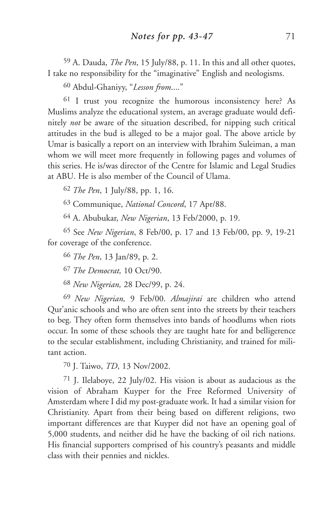59 A. Dauda, *The Pen*, 15 July/88, p. 11. In this and all other quotes, I take no responsibility for the "imaginative" English and neologisms.

60 Abdul-Ghaniyy, "*Lesson from*...."

61 I trust you recognize the humorous inconsistency here? As Muslims analyze the educational system, an average graduate would definitely *not* be aware of the situation described, for nipping such critical attitudes in the bud is alleged to be a major goal. The above article by Umar is basically a report on an interview with Ibrahim Suleiman, a man whom we will meet more frequently in following pages and volumes of this series. He is/was director of the Centre for Islamic and Legal Studies at ABU. He is also member of the Council of Ulama.

62 *The Pen*, 1 July/88, pp. 1, 16.

63 Communique, *National Concord*, 17 Apr/88.

64 A. Abubukar, *New Nigerian*, 13 Feb/2000, p. 19.

65 See *New Nigerian*, 8 Feb/00, p. 17 and 13 Feb/00, pp. 9, 19-21 for coverage of the conference.

66 *The Pen*, 13 Jan/89, p. 2.

67 *The Democrat,* 10 Oct/90.

68 *New Nigerian,* 28 Dec/99, p. 24.

69 *New Nigerian,* 9 Feb/00. *Almajirai* are children who attend Qur'anic schools and who are often sent into the streets by their teachers to beg. They often form themselves into bands of hoodlums when riots occur. In some of these schools they are taught hate for and belligerence to the secular establishment, including Christianity, and trained for militant action.

70 J. Taiwo, *TD*, 13 Nov/2002.

71 J. Ilelaboye, 22 July/02. His vision is about as audacious as the vision of Abraham Kuyper for the Free Reformed University of Amsterdam where I did my post-graduate work. It had a similar vision for Christianity. Apart from their being based on different religions, two important differences are that Kuyper did not have an opening goal of 5,000 students, and neither did he have the backing of oil rich nations. His financial supporters comprised of his country's peasants and middle class with their pennies and nickles.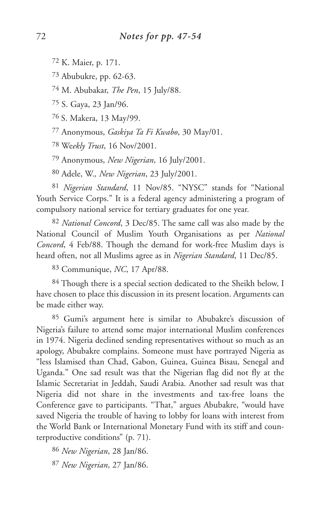72 K. Maier, p. 171.

73 Abubukre, pp. 62-63.

74 M. Abubakar, *The Pen*, 15 July/88.

75 S. Gaya, 23 Jan/96.

76 S. Makera, 13 May/99.

77 Anonymous, *Gaskiya Ta Fi Kwabo*, 30 May/01.

78 We*ekly Trust*, 16 Nov/2001.

79 Anonymous, *New Nigerian*, 16 July/2001.

80 Adele, W.*, New Nigerian*, 23 July/2001.

81 *Nigerian Standard*, 11 Nov/85. "NYSC" stands for "National Youth Service Corps." It is a federal agency administering a program of compulsory national service for tertiary graduates for one year.

82 *National Concord*, 3 Dec/85. The same call was also made by the National Council of Muslim Youth Organisations as per *National Concord*, 4 Feb/88. Though the demand for work-free Muslim days is heard often, not all Muslims agree as in *Nigerian Standard*, 11 Dec/85.

83 Communique, *NC*, 17 Apr/88.

84 Though there is a special section dedicated to the Sheikh below, I have chosen to place this discussion in its present location. Arguments can be made either way.

85 Gumi's argument here is similar to Abubakre's discussion of Nigeria's failure to attend some major international Muslim conferences in 1974. Nigeria declined sending representatives without so much as an apology, Abubakre complains. Someone must have portrayed Nigeria as "less Islamised than Chad, Gabon, Guinea, Guinea Bisau, Senegal and Uganda." One sad result was that the Nigerian flag did not fly at the Islamic Secretariat in Jeddah, Saudi Arabia. Another sad result was that Nigeria did not share in the investments and tax-free loans the Conference gave to participants. "That," argues Abubakre, "would have saved Nigeria the trouble of having to lobby for loans with interest from the World Bank or International Monetary Fund with its stiff and counterproductive conditions" (p. 71).

86 *New Nigerian*, 28 Jan/86.

87 *New Nigerian*, 27 Jan/86.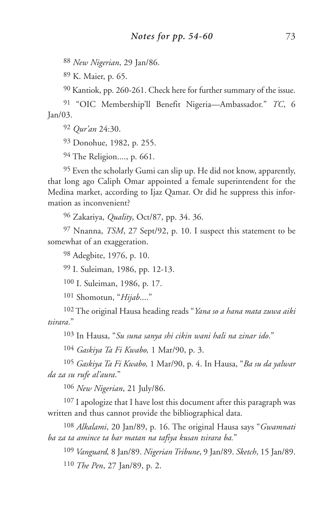*New Nigerian*, 29 Jan/86.

K. Maier, p. 65.

Kantiok, pp. 260-261. Check here for further summary of the issue.

 "OIC Membership'll Benefit Nigeria—Ambassador." *TC*, 6 Jan/03.

*Qur'an* 24:30.

Donohue, 1982, p. 255.

The Religion...., p. 661.

 Even the scholarly Gumi can slip up. He did not know, apparently, that long ago Caliph Omar appointed a female superintendent for the Medina market, according to Ijaz Qamar. Or did he suppress this information as inconvenient?

Zakariya, *Quality*, Oct/87, pp. 34. 36.

 Nnanna, *TSM*, 27 Sept/92, p. 10. I suspect this statement to be somewhat of an exaggeration.

Adegbite, 1976, p. 10.

I. Suleiman, 1986, pp. 12-13.

I. Suleiman, 1986, p. 17.

Shomotun, "*Hijab*...."

 The original Hausa heading reads "*Yana so a hana mata zuwa aiki tsirara*."

In Hausa, "*Su suna sanya shi cikin wani hali na zinar ido*."

*Gaskiya Ta Fi Kwabo,* 1 Mar/90, p. 3.

 *Gaskiya Ta Fi Kwabo,* 1 Mar/90, p. 4. In Hausa, "*Ba su da yalwar da za su rufe al'aura*."

*New Nigerian*, 21 July/86.

107 I apologize that I have lost this document after this paragraph was written and thus cannot provide the bibliographical data.

 *Alkalami*, 20 Jan/89, p. 16. The original Hausa says "*Gwamnati ba za ta amince ta bar matan na tafiya kusan tsirara ba.*"

 *Vanguard,* 8 Jan/89. *Nigerian Tribune*, 9 Jan/89. *Sketch*, 15 Jan/89. *The Pen*, 27 Jan/89, p. 2.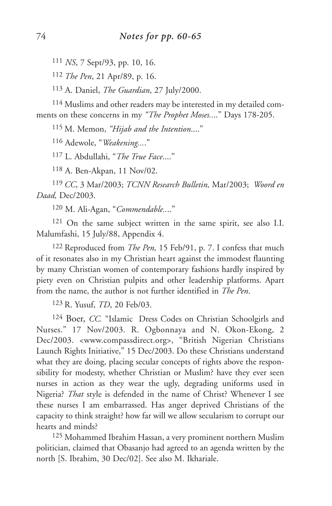111 *NS*, 7 Sept/93, pp. 10, 16.

112 *The Pen*, 21 Apr/89, p. 16.

113 A. Daniel, *The Guardian*, 27 July/2000.

114 Muslims and other readers may be interested in my detailed comments on these concerns in my *"The Prophet Moses..*.." Days 178-205.

115 M. Memon, *"Hijab and the Intention*...."

116 Adewole, "*Weakening...*."

117 L. Abdullahi, "*The True Face*...."

118 A. Ben-Akpan, 11 Nov/02.

119 *CC*, 3 Mar/2003; *TCNN Research Bulletin,* Mar/2003; *Woord en Daad,* Dec/2003.

120 M. Ali-Agan, "*Commendable..*.."

121 On the same subject written in the same spirit, see also I.I. Malumfashi, 15 July/88, Appendix 4.

122 Reproduced from *The Pen,* 15 Feb/91, p. 7. I confess that much of it resonates also in my Christian heart against the immodest flaunting by many Christian women of contemporary fashions hardly inspired by piety even on Christian pulpits and other leadership platforms. Apart from the name, the author is not further identified in *The Pen*.

123 R. Yusuf, *TD*, 20 Feb/03.

<sup>124</sup> Boer, *CC.* "Islamic Dress Codes on Christian Schoolgirls and Nurses." 17 Nov/2003. R. Ogbonnaya and N. Okon-Ekong, 2 Dec/2003. <www.compassdirect.org>, "British Nigerian Christians Launch Rights Initiative," 15 Dec/2003. Do these Christians understand what they are doing, placing secular concepts of rights above the responsibility for modesty, whether Christian or Muslim? have they ever seen nurses in action as they wear the ugly, degrading uniforms used in Nigeria? *That* style is defended in the name of Christ? Whenever I see these nurses I am embarrassed. Has anger deprived Christians of the capacity to think straight? how far will we allow secularism to corrupt our hearts and minds?

125 Mohammed Ibrahim Hassan, a very prominent northern Muslim politician, claimed that Obasanjo had agreed to an agenda written by the north [S. Ibrahim, 30 Dec/02]. See also M. Ikhariale.